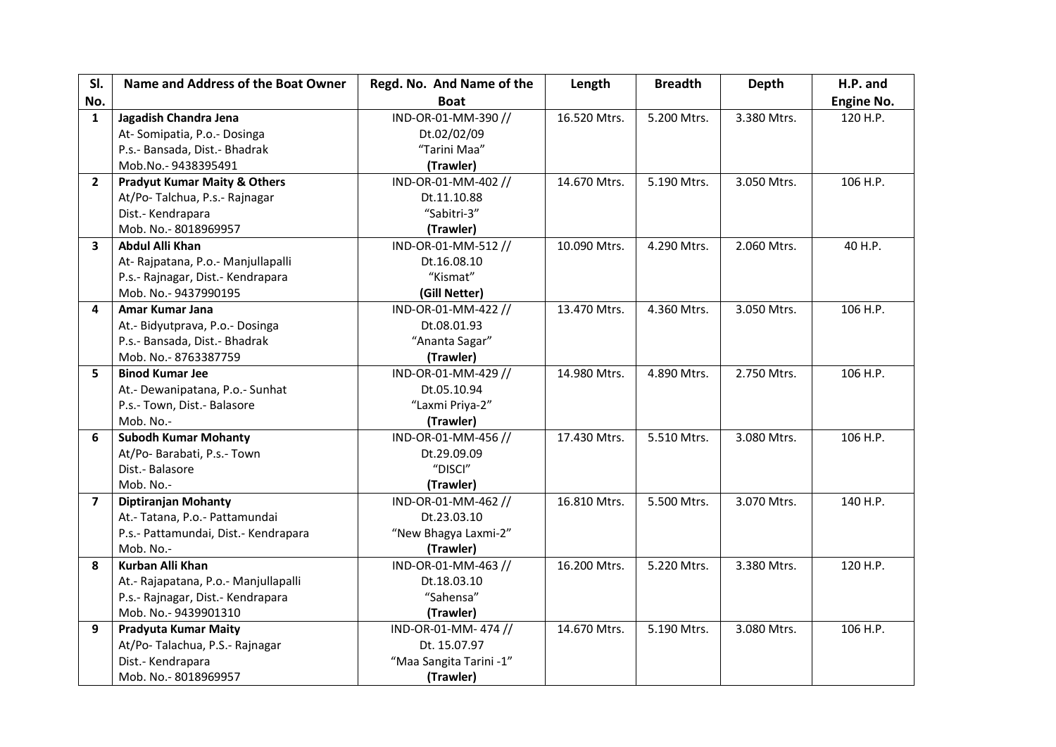| SI.            | Name and Address of the Boat Owner      | Regd. No. And Name of the | Length       | <b>Breadth</b> | Depth       | H.P. and          |
|----------------|-----------------------------------------|---------------------------|--------------|----------------|-------------|-------------------|
| No.            |                                         | <b>Boat</b>               |              |                |             | <b>Engine No.</b> |
| $\mathbf{1}$   | Jagadish Chandra Jena                   | IND-OR-01-MM-390 //       | 16.520 Mtrs. | 5.200 Mtrs.    | 3.380 Mtrs. | 120 H.P.          |
|                | At-Somipatia, P.o.-Dosinga              | Dt.02/02/09               |              |                |             |                   |
|                | P.s.- Bansada, Dist.- Bhadrak           | "Tarini Maa"              |              |                |             |                   |
|                | Mob.No.-9438395491                      | (Trawler)                 |              |                |             |                   |
| $\overline{2}$ | <b>Pradyut Kumar Maity &amp; Others</b> | IND-OR-01-MM-402 //       | 14.670 Mtrs. | 5.190 Mtrs.    | 3.050 Mtrs. | 106 H.P.          |
|                | At/Po-Talchua, P.s.-Rajnagar            | Dt.11.10.88               |              |                |             |                   |
|                | Dist.- Kendrapara                       | "Sabitri-3"               |              |                |             |                   |
|                | Mob. No.-8018969957                     | (Trawler)                 |              |                |             |                   |
| 3              | <b>Abdul Alli Khan</b>                  | IND-OR-01-MM-512 //       | 10.090 Mtrs. | 4.290 Mtrs.    | 2.060 Mtrs. | 40 H.P.           |
|                | At-Rajpatana, P.o.- Manjullapalli       | Dt.16.08.10               |              |                |             |                   |
|                | P.s.- Rajnagar, Dist.- Kendrapara       | "Kismat"                  |              |                |             |                   |
|                | Mob. No.- 9437990195                    | (Gill Netter)             |              |                |             |                   |
| 4              | Amar Kumar Jana                         | IND-OR-01-MM-422 //       | 13.470 Mtrs. | 4.360 Mtrs.    | 3.050 Mtrs. | 106 H.P.          |
|                | At.- Bidyutprava, P.o.- Dosinga         | Dt.08.01.93               |              |                |             |                   |
|                | P.s.- Bansada, Dist.- Bhadrak           | "Ananta Sagar"            |              |                |             |                   |
|                | Mob. No.-8763387759                     | (Trawler)                 |              |                |             |                   |
| 5              | <b>Binod Kumar Jee</b>                  | IND-OR-01-MM-429 //       | 14.980 Mtrs. | 4.890 Mtrs.    | 2.750 Mtrs. | 106 H.P.          |
|                | At.- Dewanipatana, P.o.- Sunhat         | Dt.05.10.94               |              |                |             |                   |
|                | P.s.- Town, Dist.- Balasore             | "Laxmi Priya-2"           |              |                |             |                   |
|                | Mob. No.-                               | (Trawler)                 |              |                |             |                   |
| 6              | <b>Subodh Kumar Mohanty</b>             | IND-OR-01-MM-456 //       | 17.430 Mtrs. | 5.510 Mtrs.    | 3.080 Mtrs. | 106 H.P.          |
|                | At/Po- Barabati, P.s.- Town             | Dt.29.09.09               |              |                |             |                   |
|                | Dist.- Balasore                         | "DISCI"                   |              |                |             |                   |
|                | Mob. No.-                               | (Trawler)                 |              |                |             |                   |
| $\overline{7}$ | <b>Diptiranjan Mohanty</b>              | IND-OR-01-MM-462 //       | 16.810 Mtrs. | 5.500 Mtrs.    | 3.070 Mtrs. | 140 H.P.          |
|                | At.- Tatana, P.o.- Pattamundai          | Dt.23.03.10               |              |                |             |                   |
|                | P.s.- Pattamundai, Dist.- Kendrapara    | "New Bhagya Laxmi-2"      |              |                |             |                   |
|                | Mob. No.-                               | (Trawler)                 |              |                |             |                   |
| 8              | Kurban Alli Khan                        | IND-OR-01-MM-463 //       | 16.200 Mtrs. | 5.220 Mtrs.    | 3.380 Mtrs. | 120 H.P.          |
|                | At.- Rajapatana, P.o.- Manjullapalli    | Dt.18.03.10               |              |                |             |                   |
|                | P.s.- Rajnagar, Dist.- Kendrapara       | "Sahensa"                 |              |                |             |                   |
|                | Mob. No.- 9439901310                    | (Trawler)                 |              |                |             |                   |
| 9              | <b>Pradyuta Kumar Maity</b>             | IND-OR-01-MM-474 //       | 14.670 Mtrs. | 5.190 Mtrs.    | 3.080 Mtrs. | 106 H.P.          |
|                | At/Po-Talachua, P.S.-Rajnagar           | Dt. 15.07.97              |              |                |             |                   |
|                | Dist.- Kendrapara                       | "Maa Sangita Tarini -1"   |              |                |             |                   |
|                | Mob. No.-8018969957                     | (Trawler)                 |              |                |             |                   |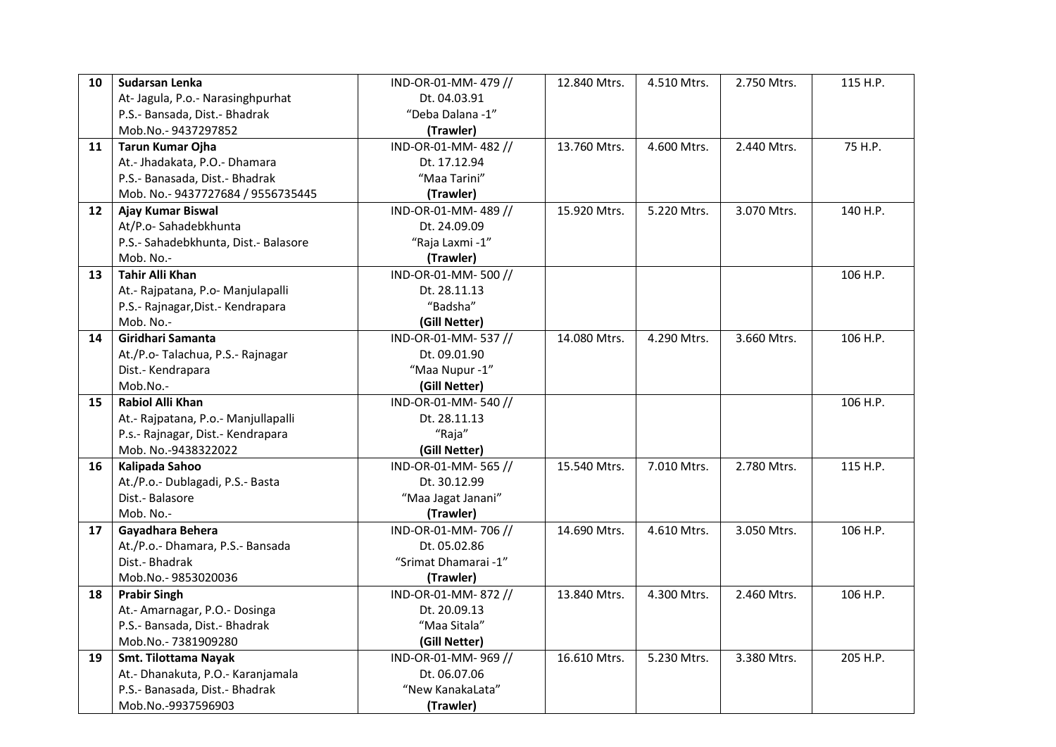| 10 | Sudarsan Lenka                       | IND-OR-01-MM-479//   | 12.840 Mtrs. | 4.510 Mtrs. | 2.750 Mtrs. | 115 H.P. |
|----|--------------------------------------|----------------------|--------------|-------------|-------------|----------|
|    | At-Jagula, P.o.- Narasinghpurhat     | Dt. 04.03.91         |              |             |             |          |
|    | P.S.- Bansada, Dist.- Bhadrak        | "Deba Dalana -1"     |              |             |             |          |
|    | Mob.No.-9437297852                   | (Trawler)            |              |             |             |          |
| 11 | <b>Tarun Kumar Ojha</b>              | IND-OR-01-MM-482 //  | 13.760 Mtrs. | 4.600 Mtrs. | 2.440 Mtrs. | 75 H.P.  |
|    | At.- Jhadakata, P.O.- Dhamara        | Dt. 17.12.94         |              |             |             |          |
|    | P.S.- Banasada, Dist.- Bhadrak       | "Maa Tarini"         |              |             |             |          |
|    | Mob. No.- 9437727684 / 9556735445    | (Trawler)            |              |             |             |          |
| 12 | Ajay Kumar Biswal                    | IND-OR-01-MM-489 //  | 15.920 Mtrs. | 5.220 Mtrs. | 3.070 Mtrs. | 140 H.P. |
|    | At/P.o-Sahadebkhunta                 | Dt. 24.09.09         |              |             |             |          |
|    | P.S.- Sahadebkhunta, Dist.- Balasore | "Raja Laxmi -1"      |              |             |             |          |
|    | Mob. No.-                            | (Trawler)            |              |             |             |          |
| 13 | <b>Tahir Alli Khan</b>               | IND-OR-01-MM-500 //  |              |             |             | 106 H.P. |
|    | At.- Rajpatana, P.o- Manjulapalli    | Dt. 28.11.13         |              |             |             |          |
|    | P.S.- Rajnagar, Dist.- Kendrapara    | "Badsha"             |              |             |             |          |
|    | Mob. No.-                            | (Gill Netter)        |              |             |             |          |
| 14 | Giridhari Samanta                    | IND-OR-01-MM-537 //  | 14.080 Mtrs. | 4.290 Mtrs. | 3.660 Mtrs. | 106 H.P. |
|    | At./P.o-Talachua, P.S.-Rajnagar      | Dt. 09.01.90         |              |             |             |          |
|    | Dist.- Kendrapara                    | "Maa Nupur -1"       |              |             |             |          |
|    | Mob.No.-                             | (Gill Netter)        |              |             |             |          |
| 15 | <b>Rabiol Alli Khan</b>              | IND-OR-01-MM-540 //  |              |             |             | 106 H.P. |
|    | At.- Rajpatana, P.o.- Manjullapalli  | Dt. 28.11.13         |              |             |             |          |
|    | P.s.- Rajnagar, Dist.- Kendrapara    | "Raja"               |              |             |             |          |
|    | Mob. No.-9438322022                  | (Gill Netter)        |              |             |             |          |
| 16 | Kalipada Sahoo                       | IND-OR-01-MM-565 //  | 15.540 Mtrs. | 7.010 Mtrs. | 2.780 Mtrs. | 115 H.P. |
|    | At./P.o.- Dublagadi, P.S.- Basta     | Dt. 30.12.99         |              |             |             |          |
|    | Dist.- Balasore                      | "Maa Jagat Janani"   |              |             |             |          |
|    | Mob. No.-                            | (Trawler)            |              |             |             |          |
| 17 | Gayadhara Behera                     | IND-OR-01-MM-706 //  | 14.690 Mtrs. | 4.610 Mtrs. | 3.050 Mtrs. | 106 H.P. |
|    | At./P.o.- Dhamara, P.S.- Bansada     | Dt. 05.02.86         |              |             |             |          |
|    | Dist.- Bhadrak                       | "Srimat Dhamarai -1" |              |             |             |          |
|    | Mob.No.-9853020036                   | (Trawler)            |              |             |             |          |
| 18 | <b>Prabir Singh</b>                  | IND-OR-01-MM-872 //  | 13.840 Mtrs. | 4.300 Mtrs. | 2.460 Mtrs. | 106 H.P. |
|    | At.- Amarnagar, P.O.- Dosinga        | Dt. 20.09.13         |              |             |             |          |
|    | P.S.- Bansada, Dist.- Bhadrak        | "Maa Sitala"         |              |             |             |          |
|    | Mob.No.- 7381909280                  | (Gill Netter)        |              |             |             |          |
| 19 | Smt. Tilottama Nayak                 | IND-OR-01-MM-969//   | 16.610 Mtrs. | 5.230 Mtrs. | 3.380 Mtrs. | 205 H.P. |
|    | At.- Dhanakuta, P.O.- Karanjamala    | Dt. 06.07.06         |              |             |             |          |
|    | P.S.- Banasada, Dist.- Bhadrak       | "New KanakaLata"     |              |             |             |          |
|    | Mob.No.-9937596903                   | (Trawler)            |              |             |             |          |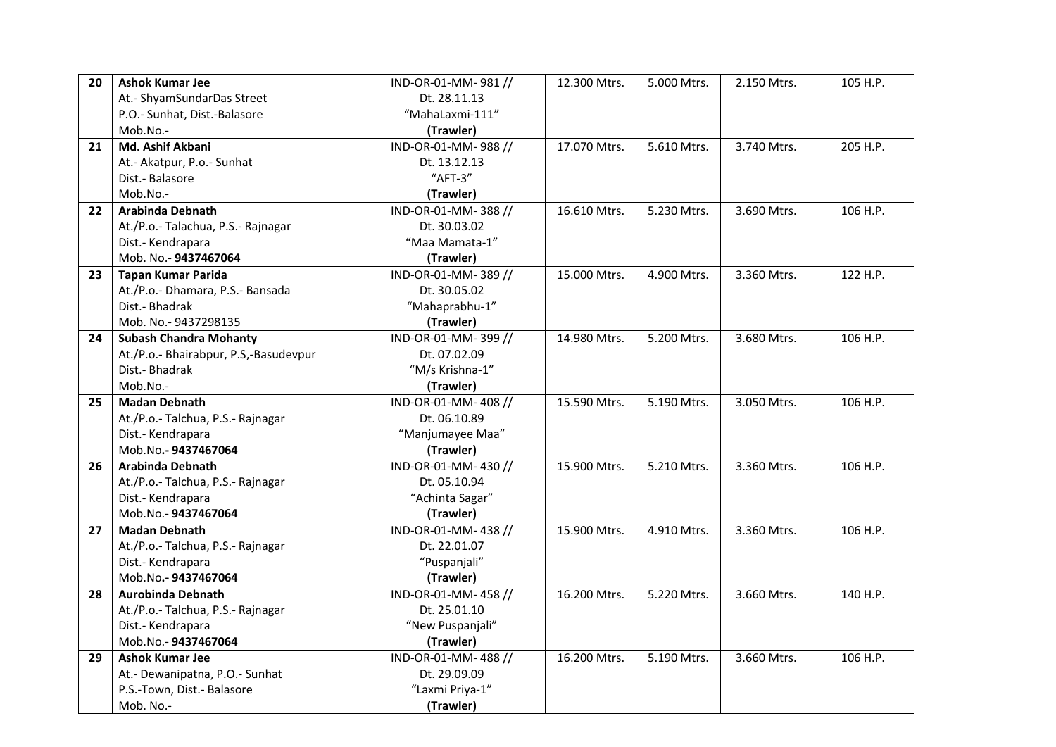| 20                | <b>Ashok Kumar Jee</b>                | IND-OR-01-MM-981//  | 12.300 Mtrs. | 5.000 Mtrs. | 2.150 Mtrs. | 105 H.P. |
|-------------------|---------------------------------------|---------------------|--------------|-------------|-------------|----------|
|                   | At.- ShyamSundarDas Street            | Dt. 28.11.13        |              |             |             |          |
|                   | P.O.- Sunhat, Dist.-Balasore          | "MahaLaxmi-111"     |              |             |             |          |
|                   | Mob.No.-                              | (Trawler)           |              |             |             |          |
| 21                | Md. Ashif Akbani                      | IND-OR-01-MM-988 // | 17.070 Mtrs. | 5.610 Mtrs. | 3.740 Mtrs. | 205 H.P. |
|                   | At.- Akatpur, P.o.- Sunhat            | Dt. 13.12.13        |              |             |             |          |
|                   | Dist.- Balasore                       | "AFT-3"             |              |             |             |          |
|                   | Mob.No.-                              | (Trawler)           |              |             |             |          |
| $22 \overline{ }$ | Arabinda Debnath                      | IND-OR-01-MM-388 // | 16.610 Mtrs. | 5.230 Mtrs. | 3.690 Mtrs. | 106 H.P. |
|                   | At./P.o.- Talachua, P.S.- Rajnagar    | Dt. 30.03.02        |              |             |             |          |
|                   | Dist.- Kendrapara                     | "Maa Mamata-1"      |              |             |             |          |
|                   | Mob. No.- 9437467064                  | (Trawler)           |              |             |             |          |
| 23                | <b>Tapan Kumar Parida</b>             | IND-OR-01-MM-389 // | 15.000 Mtrs. | 4.900 Mtrs. | 3.360 Mtrs. | 122 H.P. |
|                   | At./P.o.- Dhamara, P.S.- Bansada      | Dt. 30.05.02        |              |             |             |          |
|                   | Dist.- Bhadrak                        | "Mahaprabhu-1"      |              |             |             |          |
|                   | Mob. No.- 9437298135                  | (Trawler)           |              |             |             |          |
| 24                | <b>Subash Chandra Mohanty</b>         | IND-OR-01-MM-399 // | 14.980 Mtrs. | 5.200 Mtrs. | 3.680 Mtrs. | 106 H.P. |
|                   | At./P.o.- Bhairabpur, P.S,-Basudevpur | Dt. 07.02.09        |              |             |             |          |
|                   | Dist.- Bhadrak                        | "M/s Krishna-1"     |              |             |             |          |
|                   | Mob.No.-                              | (Trawler)           |              |             |             |          |
| 25                | <b>Madan Debnath</b>                  | IND-OR-01-MM-408 // | 15.590 Mtrs. | 5.190 Mtrs. | 3.050 Mtrs. | 106 H.P. |
|                   | At./P.o.- Talchua, P.S.- Rajnagar     | Dt. 06.10.89        |              |             |             |          |
|                   | Dist.- Kendrapara                     | "Manjumayee Maa"    |              |             |             |          |
|                   | Mob.No.- 9437467064                   | (Trawler)           |              |             |             |          |
| 26                | Arabinda Debnath                      | IND-OR-01-MM-430 // | 15.900 Mtrs. | 5.210 Mtrs. | 3.360 Mtrs. | 106 H.P. |
|                   | At./P.o.- Talchua, P.S.- Rajnagar     | Dt. 05.10.94        |              |             |             |          |
|                   | Dist.- Kendrapara                     | "Achinta Sagar"     |              |             |             |          |
|                   | Mob.No.-9437467064                    | (Trawler)           |              |             |             |          |
| 27                | <b>Madan Debnath</b>                  | IND-OR-01-MM-438 // | 15.900 Mtrs. | 4.910 Mtrs. | 3.360 Mtrs. | 106 H.P. |
|                   | At./P.o.- Talchua, P.S.- Rajnagar     | Dt. 22.01.07        |              |             |             |          |
|                   | Dist.- Kendrapara                     | "Puspanjali"        |              |             |             |          |
|                   | Mob.No.-9437467064                    | (Trawler)           |              |             |             |          |
| 28                | <b>Aurobinda Debnath</b>              | IND-OR-01-MM-458 // | 16.200 Mtrs. | 5.220 Mtrs. | 3.660 Mtrs. | 140 H.P. |
|                   | At./P.o.- Talchua, P.S.- Rajnagar     | Dt. 25.01.10        |              |             |             |          |
|                   | Dist.- Kendrapara                     | "New Puspanjali"    |              |             |             |          |
|                   | Mob.No.-9437467064                    | (Trawler)           |              |             |             |          |
| 29                | <b>Ashok Kumar Jee</b>                | IND-OR-01-MM-488 // | 16.200 Mtrs. | 5.190 Mtrs. | 3.660 Mtrs. | 106 H.P. |
|                   | At.- Dewanipatna, P.O.- Sunhat        | Dt. 29.09.09        |              |             |             |          |
|                   | P.S.-Town, Dist.- Balasore            | "Laxmi Priya-1"     |              |             |             |          |
|                   | Mob. No.-                             | (Trawler)           |              |             |             |          |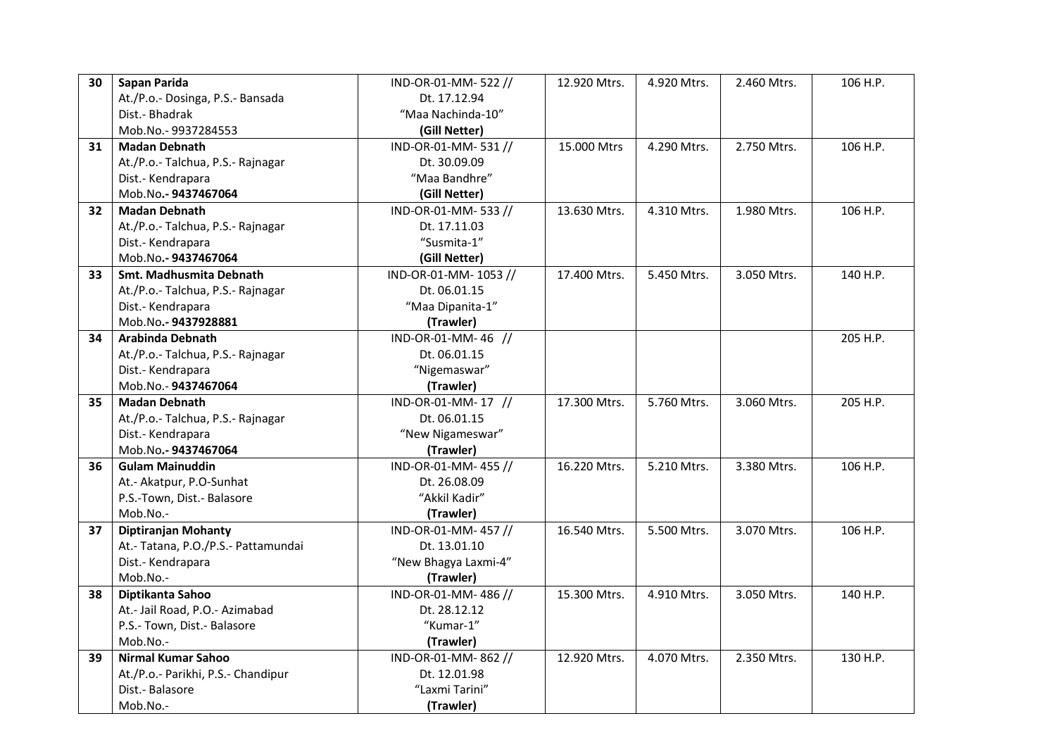| 30 | Sapan Parida                        | IND-OR-01-MM-522 //  | 12.920 Mtrs. | 4.920 Mtrs. | 2.460 Mtrs. | 106 H.P. |
|----|-------------------------------------|----------------------|--------------|-------------|-------------|----------|
|    | At./P.o.- Dosinga, P.S.- Bansada    | Dt. 17.12.94         |              |             |             |          |
|    | Dist.- Bhadrak                      | "Maa Nachinda-10"    |              |             |             |          |
|    | Mob.No.-9937284553                  | (Gill Netter)        |              |             |             |          |
| 31 | <b>Madan Debnath</b>                | IND-OR-01-MM-531 //  | 15.000 Mtrs  | 4.290 Mtrs. | 2.750 Mtrs. | 106 H.P. |
|    | At./P.o.- Talchua, P.S.- Rajnagar   | Dt. 30.09.09         |              |             |             |          |
|    | Dist.- Kendrapara                   | "Maa Bandhre"        |              |             |             |          |
|    | Mob.No.-9437467064                  | (Gill Netter)        |              |             |             |          |
| 32 | <b>Madan Debnath</b>                | IND-OR-01-MM-533 //  | 13.630 Mtrs. | 4.310 Mtrs. | 1.980 Mtrs. | 106 H.P. |
|    | At./P.o.- Talchua, P.S.- Rajnagar   | Dt. 17.11.03         |              |             |             |          |
|    | Dist.- Kendrapara                   | "Susmita-1"          |              |             |             |          |
|    | Mob.No.-9437467064                  | (Gill Netter)        |              |             |             |          |
| 33 | Smt. Madhusmita Debnath             | IND-OR-01-MM-1053 // | 17.400 Mtrs. | 5.450 Mtrs. | 3.050 Mtrs. | 140 H.P. |
|    | At./P.o.- Talchua, P.S.- Rajnagar   | Dt. 06.01.15         |              |             |             |          |
|    | Dist.- Kendrapara                   | "Maa Dipanita-1"     |              |             |             |          |
|    | Mob.No.-9437928881                  | (Trawler)            |              |             |             |          |
| 34 | <b>Arabinda Debnath</b>             | IND-OR-01-MM-46 //   |              |             |             | 205 H.P. |
|    | At./P.o.- Talchua, P.S.- Rajnagar   | Dt. 06.01.15         |              |             |             |          |
|    | Dist.- Kendrapara                   | "Nigemaswar"         |              |             |             |          |
|    | Mob.No.-9437467064                  | (Trawler)            |              |             |             |          |
| 35 | <b>Madan Debnath</b>                | IND-OR-01-MM-17 //   | 17.300 Mtrs. | 5.760 Mtrs. | 3.060 Mtrs. | 205 H.P. |
|    | At./P.o.- Talchua, P.S.- Rajnagar   | Dt. 06.01.15         |              |             |             |          |
|    | Dist.- Kendrapara                   | "New Nigameswar"     |              |             |             |          |
|    | Mob.No.-9437467064                  | (Trawler)            |              |             |             |          |
| 36 | <b>Gulam Mainuddin</b>              | IND-OR-01-MM-455 //  | 16.220 Mtrs. | 5.210 Mtrs. | 3.380 Mtrs. | 106 H.P. |
|    | At.- Akatpur, P.O-Sunhat            | Dt. 26.08.09         |              |             |             |          |
|    | P.S.-Town, Dist.- Balasore          | "Akkil Kadir"        |              |             |             |          |
|    | Mob.No.-                            | (Trawler)            |              |             |             |          |
| 37 | Diptiranjan Mohanty                 | IND-OR-01-MM-457//   | 16.540 Mtrs. | 5.500 Mtrs. | 3.070 Mtrs. | 106 H.P. |
|    | At.- Tatana, P.O./P.S.- Pattamundai | Dt. 13.01.10         |              |             |             |          |
|    | Dist.- Kendrapara                   | "New Bhagya Laxmi-4" |              |             |             |          |
|    | Mob.No .-                           | (Trawler)            |              |             |             |          |
| 38 | Diptikanta Sahoo                    | IND-OR-01-MM-486 //  | 15.300 Mtrs. | 4.910 Mtrs. | 3.050 Mtrs. | 140 H.P. |
|    | At.- Jail Road, P.O.- Azimabad      | Dt. 28.12.12         |              |             |             |          |
|    | P.S.- Town, Dist.- Balasore         | "Kumar-1"            |              |             |             |          |
|    | Mob.No.-                            | (Trawler)            |              |             |             |          |
| 39 | <b>Nirmal Kumar Sahoo</b>           | IND-OR-01-MM-862 //  | 12.920 Mtrs. | 4.070 Mtrs. | 2.350 Mtrs. | 130 H.P. |
|    | At./P.o.- Parikhi, P.S.- Chandipur  | Dt. 12.01.98         |              |             |             |          |
|    | Dist.- Balasore                     | "Laxmi Tarini"       |              |             |             |          |
|    | Mob.No.-                            | (Trawler)            |              |             |             |          |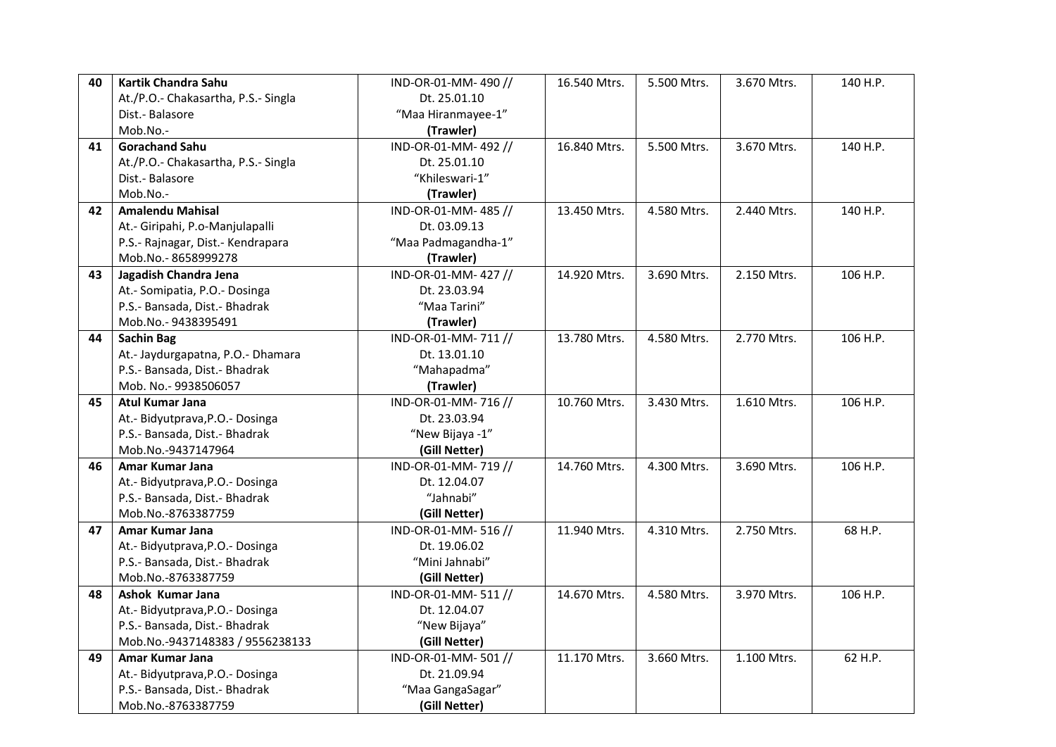| 40 | Kartik Chandra Sahu                 | IND-OR-01-MM-490//  | 16.540 Mtrs. | 5.500 Mtrs. | 3.670 Mtrs. | 140 H.P. |
|----|-------------------------------------|---------------------|--------------|-------------|-------------|----------|
|    | At./P.O.- Chakasartha, P.S.- Singla | Dt. 25.01.10        |              |             |             |          |
|    | Dist.- Balasore                     | "Maa Hiranmayee-1"  |              |             |             |          |
|    | Mob.No.-                            | (Trawler)           |              |             |             |          |
| 41 | <b>Gorachand Sahu</b>               | IND-OR-01-MM-492 // | 16.840 Mtrs. | 5.500 Mtrs. | 3.670 Mtrs. | 140 H.P. |
|    | At./P.O.- Chakasartha, P.S.- Singla | Dt. 25.01.10        |              |             |             |          |
|    | Dist.- Balasore                     | "Khileswari-1"      |              |             |             |          |
|    | Mob.No.-                            | (Trawler)           |              |             |             |          |
| 42 | <b>Amalendu Mahisal</b>             | IND-OR-01-MM-485 // | 13.450 Mtrs. | 4.580 Mtrs. | 2.440 Mtrs. | 140 H.P. |
|    | At.- Giripahi, P.o-Manjulapalli     | Dt. 03.09.13        |              |             |             |          |
|    | P.S.- Rajnagar, Dist.- Kendrapara   | "Maa Padmagandha-1" |              |             |             |          |
|    | Mob.No.-8658999278                  | (Trawler)           |              |             |             |          |
| 43 | Jagadish Chandra Jena               | IND-OR-01-MM-427 // | 14.920 Mtrs. | 3.690 Mtrs. | 2.150 Mtrs. | 106 H.P. |
|    | At.- Somipatia, P.O.- Dosinga       | Dt. 23.03.94        |              |             |             |          |
|    | P.S.- Bansada, Dist.- Bhadrak       | "Maa Tarini"        |              |             |             |          |
|    | Mob.No.-9438395491                  | (Trawler)           |              |             |             |          |
| 44 | <b>Sachin Bag</b>                   | IND-OR-01-MM-711 // | 13.780 Mtrs. | 4.580 Mtrs. | 2.770 Mtrs. | 106 H.P. |
|    | At.- Jaydurgapatna, P.O.- Dhamara   | Dt. 13.01.10        |              |             |             |          |
|    | P.S.- Bansada, Dist.- Bhadrak       | "Mahapadma"         |              |             |             |          |
|    | Mob. No.- 9938506057                | (Trawler)           |              |             |             |          |
| 45 | <b>Atul Kumar Jana</b>              | IND-OR-01-MM-716 // | 10.760 Mtrs. | 3.430 Mtrs. | 1.610 Mtrs. | 106 H.P. |
|    | At.- Bidyutprava, P.O.- Dosinga     | Dt. 23.03.94        |              |             |             |          |
|    | P.S.- Bansada, Dist.- Bhadrak       | "New Bijaya -1"     |              |             |             |          |
|    | Mob.No.-9437147964                  | (Gill Netter)       |              |             |             |          |
| 46 | Amar Kumar Jana                     | IND-OR-01-MM-719 // | 14.760 Mtrs. | 4.300 Mtrs. | 3.690 Mtrs. | 106 H.P. |
|    | At.- Bidyutprava, P.O.- Dosinga     | Dt. 12.04.07        |              |             |             |          |
|    | P.S.- Bansada, Dist.- Bhadrak       | "Jahnabi"           |              |             |             |          |
|    | Mob.No.-8763387759                  | (Gill Netter)       |              |             |             |          |
| 47 | Amar Kumar Jana                     | IND-OR-01-MM-516 // | 11.940 Mtrs. | 4.310 Mtrs. | 2.750 Mtrs. | 68 H.P.  |
|    | At.- Bidyutprava, P.O.- Dosinga     | Dt. 19.06.02        |              |             |             |          |
|    | P.S.- Bansada, Dist.- Bhadrak       | "Mini Jahnabi"      |              |             |             |          |
|    | Mob.No.-8763387759                  | (Gill Netter)       |              |             |             |          |
| 48 | Ashok Kumar Jana                    | IND-OR-01-MM-511 // | 14.670 Mtrs. | 4.580 Mtrs. | 3.970 Mtrs. | 106 H.P. |
|    | At.- Bidyutprava, P.O.- Dosinga     | Dt. 12.04.07        |              |             |             |          |
|    | P.S.- Bansada, Dist.- Bhadrak       | "New Bijaya"        |              |             |             |          |
|    | Mob.No.-9437148383 / 9556238133     | (Gill Netter)       |              |             |             |          |
| 49 | Amar Kumar Jana                     | IND-OR-01-MM-501//  | 11.170 Mtrs. | 3.660 Mtrs. | 1.100 Mtrs. | 62 H.P.  |
|    | At.- Bidyutprava, P.O.- Dosinga     | Dt. 21.09.94        |              |             |             |          |
|    | P.S.- Bansada, Dist.- Bhadrak       | "Maa GangaSagar"    |              |             |             |          |
|    | Mob.No.-8763387759                  | (Gill Netter)       |              |             |             |          |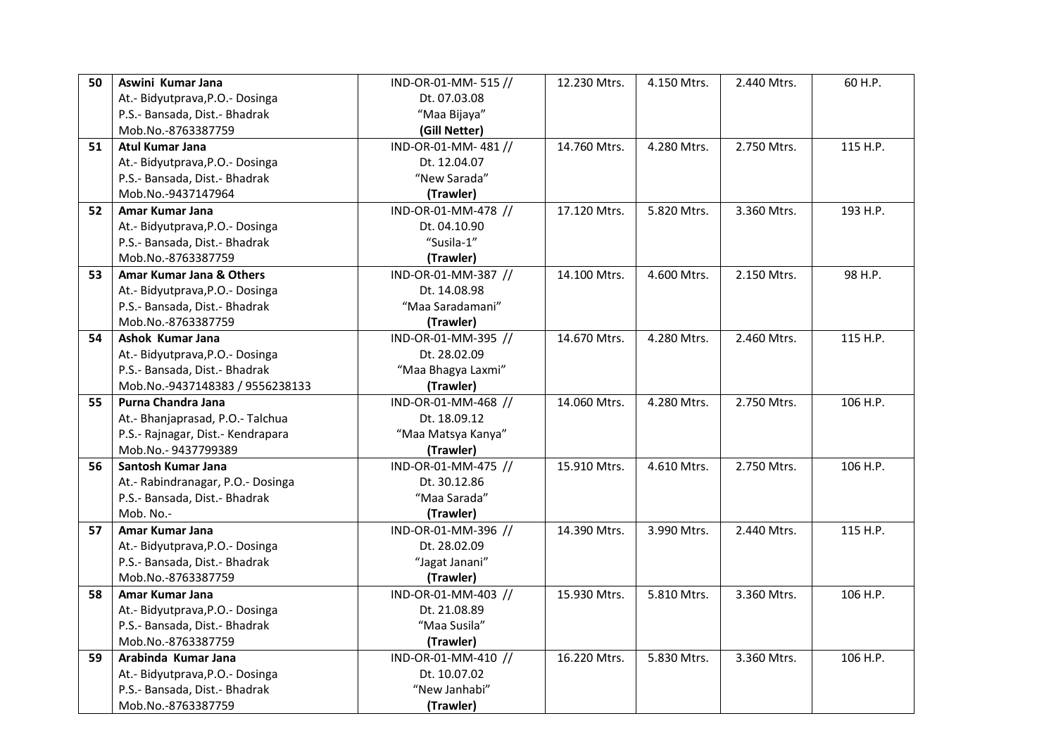| 50 | Aswini Kumar Jana                 | IND-OR-01-MM-515 // | 12.230 Mtrs. | 4.150 Mtrs. | 2.440 Mtrs. | 60 H.P.  |
|----|-----------------------------------|---------------------|--------------|-------------|-------------|----------|
|    | At.- Bidyutprava, P.O.- Dosinga   | Dt. 07.03.08        |              |             |             |          |
|    | P.S.- Bansada, Dist.- Bhadrak     | "Maa Bijaya"        |              |             |             |          |
|    | Mob.No.-8763387759                | (Gill Netter)       |              |             |             |          |
| 51 | <b>Atul Kumar Jana</b>            | IND-OR-01-MM-481 // | 14.760 Mtrs. | 4.280 Mtrs. | 2.750 Mtrs. | 115 H.P. |
|    | At.- Bidyutprava, P.O.- Dosinga   | Dt. 12.04.07        |              |             |             |          |
|    | P.S.- Bansada, Dist.- Bhadrak     | "New Sarada"        |              |             |             |          |
|    | Mob.No.-9437147964                | (Trawler)           |              |             |             |          |
| 52 | Amar Kumar Jana                   | IND-OR-01-MM-478 // | 17.120 Mtrs. | 5.820 Mtrs. | 3.360 Mtrs. | 193 H.P. |
|    | At.- Bidyutprava, P.O.- Dosinga   | Dt. 04.10.90        |              |             |             |          |
|    | P.S.- Bansada, Dist.- Bhadrak     | "Susila-1"          |              |             |             |          |
|    | Mob.No.-8763387759                | (Trawler)           |              |             |             |          |
| 53 | Amar Kumar Jana & Others          | IND-OR-01-MM-387 // | 14.100 Mtrs. | 4.600 Mtrs. | 2.150 Mtrs. | 98 H.P.  |
|    | At.- Bidyutprava, P.O.- Dosinga   | Dt. 14.08.98        |              |             |             |          |
|    | P.S.- Bansada, Dist.- Bhadrak     | "Maa Saradamani"    |              |             |             |          |
|    | Mob.No.-8763387759                | (Trawler)           |              |             |             |          |
| 54 | Ashok Kumar Jana                  | IND-OR-01-MM-395 // | 14.670 Mtrs. | 4.280 Mtrs. | 2.460 Mtrs. | 115 H.P. |
|    | At.- Bidyutprava, P.O.- Dosinga   | Dt. 28.02.09        |              |             |             |          |
|    | P.S.- Bansada, Dist.- Bhadrak     | "Maa Bhagya Laxmi"  |              |             |             |          |
|    | Mob.No.-9437148383 / 9556238133   | (Trawler)           |              |             |             |          |
|    |                                   |                     |              |             |             |          |
| 55 | Purna Chandra Jana                | IND-OR-01-MM-468 // | 14.060 Mtrs. | 4.280 Mtrs. | 2.750 Mtrs. | 106 H.P. |
|    | At.- Bhanjaprasad, P.O.- Talchua  | Dt. 18.09.12        |              |             |             |          |
|    | P.S.- Rajnagar, Dist.- Kendrapara | "Maa Matsya Kanya"  |              |             |             |          |
|    | Mob.No.-9437799389                | (Trawler)           |              |             |             |          |
| 56 | Santosh Kumar Jana                | IND-OR-01-MM-475 // | 15.910 Mtrs. | 4.610 Mtrs. | 2.750 Mtrs. | 106 H.P. |
|    | At.- Rabindranagar, P.O.- Dosinga | Dt. 30.12.86        |              |             |             |          |
|    | P.S.- Bansada, Dist.- Bhadrak     | "Maa Sarada"        |              |             |             |          |
|    | Mob. No.-                         | (Trawler)           |              |             |             |          |
| 57 | Amar Kumar Jana                   | IND-OR-01-MM-396 // | 14.390 Mtrs. | 3.990 Mtrs. | 2.440 Mtrs. | 115 H.P. |
|    | At.- Bidyutprava, P.O.- Dosinga   | Dt. 28.02.09        |              |             |             |          |
|    | P.S.- Bansada, Dist.- Bhadrak     | "Jagat Janani"      |              |             |             |          |
|    | Mob.No.-8763387759                | (Trawler)           |              |             |             |          |
| 58 | Amar Kumar Jana                   | IND-OR-01-MM-403 // | 15.930 Mtrs. | 5.810 Mtrs. | 3.360 Mtrs. | 106 H.P. |
|    | At.- Bidyutprava, P.O.- Dosinga   | Dt. 21.08.89        |              |             |             |          |
|    | P.S.- Bansada, Dist.- Bhadrak     | "Maa Susila"        |              |             |             |          |
|    | Mob.No.-8763387759                | (Trawler)           |              |             |             |          |
| 59 | Arabinda Kumar Jana               | IND-OR-01-MM-410 // | 16.220 Mtrs. | 5.830 Mtrs. | 3.360 Mtrs. | 106 H.P. |
|    | At.- Bidyutprava, P.O.- Dosinga   | Dt. 10.07.02        |              |             |             |          |
|    | P.S.- Bansada, Dist.- Bhadrak     | "New Janhabi"       |              |             |             |          |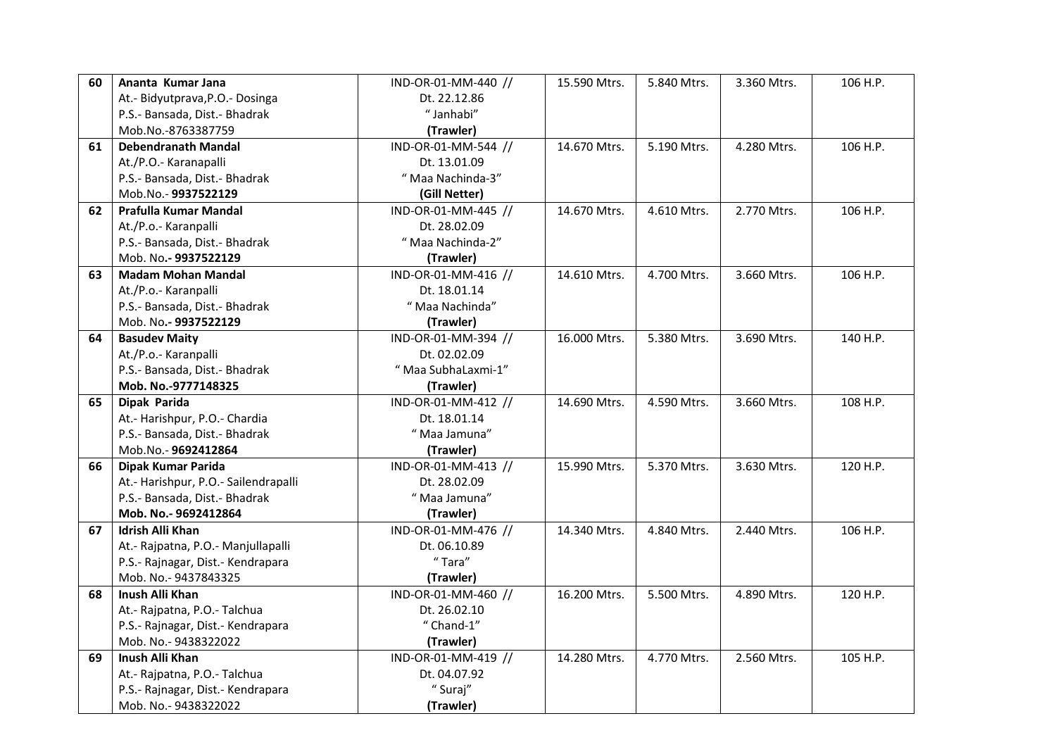| 60 | Ananta Kumar Jana                    | IND-OR-01-MM-440 // | 15.590 Mtrs. | 5.840 Mtrs. | 3.360 Mtrs. | 106 H.P. |
|----|--------------------------------------|---------------------|--------------|-------------|-------------|----------|
|    | At.- Bidyutprava, P.O.- Dosinga      | Dt. 22.12.86        |              |             |             |          |
|    | P.S.- Bansada, Dist.- Bhadrak        | "Janhabi"           |              |             |             |          |
|    | Mob.No.-8763387759                   | (Trawler)           |              |             |             |          |
| 61 | <b>Debendranath Mandal</b>           | IND-OR-01-MM-544 // | 14.670 Mtrs. | 5.190 Mtrs. | 4.280 Mtrs. | 106 H.P. |
|    | At./P.O.- Karanapalli                | Dt. 13.01.09        |              |             |             |          |
|    | P.S.- Bansada, Dist.- Bhadrak        | "Maa Nachinda-3"    |              |             |             |          |
|    | Mob.No.- 9937522129                  | (Gill Netter)       |              |             |             |          |
| 62 | Prafulla Kumar Mandal                | IND-OR-01-MM-445 // | 14.670 Mtrs. | 4.610 Mtrs. | 2.770 Mtrs. | 106 H.P. |
|    | At./P.o.- Karanpalli                 | Dt. 28.02.09        |              |             |             |          |
|    | P.S.- Bansada, Dist.- Bhadrak        | "Maa Nachinda-2"    |              |             |             |          |
|    | Mob. No.- 9937522129                 | (Trawler)           |              |             |             |          |
| 63 | <b>Madam Mohan Mandal</b>            | IND-OR-01-MM-416 // | 14.610 Mtrs. | 4.700 Mtrs. | 3.660 Mtrs. | 106 H.P. |
|    | At./P.o.- Karanpalli                 | Dt. 18.01.14        |              |             |             |          |
|    | P.S.- Bansada, Dist.- Bhadrak        | "Maa Nachinda"      |              |             |             |          |
|    | Mob. No.- 9937522129                 | (Trawler)           |              |             |             |          |
| 64 | <b>Basudev Maity</b>                 | IND-OR-01-MM-394 // | 16.000 Mtrs. | 5.380 Mtrs. | 3.690 Mtrs. | 140 H.P. |
|    | At./P.o.- Karanpalli                 | Dt. 02.02.09        |              |             |             |          |
|    | P.S.- Bansada, Dist.- Bhadrak        | " Maa SubhaLaxmi-1" |              |             |             |          |
|    | Mob. No.-9777148325                  | (Trawler)           |              |             |             |          |
| 65 | Dipak Parida                         | IND-OR-01-MM-412 // | 14.690 Mtrs. | 4.590 Mtrs. | 3.660 Mtrs. | 108 H.P. |
|    | At.- Harishpur, P.O.- Chardia        | Dt. 18.01.14        |              |             |             |          |
|    | P.S.- Bansada, Dist.- Bhadrak        | "Maa Jamuna"        |              |             |             |          |
|    | Mob.No.-9692412864                   | (Trawler)           |              |             |             |          |
| 66 | Dipak Kumar Parida                   | IND-OR-01-MM-413 // |              | 5.370 Mtrs. | 3.630 Mtrs. | 120 H.P. |
|    |                                      |                     | 15.990 Mtrs. |             |             |          |
|    | At.- Harishpur, P.O.- Sailendrapalli | Dt. 28.02.09        |              |             |             |          |
|    | P.S.- Bansada, Dist.- Bhadrak        | "Maa Jamuna"        |              |             |             |          |
|    | Mob. No.- 9692412864                 | (Trawler)           |              |             |             |          |
| 67 | <b>Idrish Alli Khan</b>              | IND-OR-01-MM-476 // | 14.340 Mtrs. | 4.840 Mtrs. | 2.440 Mtrs. | 106 H.P. |
|    | At.- Rajpatna, P.O.- Manjullapalli   | Dt. 06.10.89        |              |             |             |          |
|    | P.S.- Rajnagar, Dist.- Kendrapara    | "Tara"              |              |             |             |          |
|    | Mob. No.-9437843325                  | (Trawler)           |              |             |             |          |
| 68 | Inush Alli Khan                      | IND-OR-01-MM-460 // | 16.200 Mtrs. | 5.500 Mtrs. | 4.890 Mtrs. | 120 H.P. |
|    | At.- Rajpatna, P.O.- Talchua         | Dt. 26.02.10        |              |             |             |          |
|    | P.S.- Rajnagar, Dist.- Kendrapara    | $"$ Chand-1"        |              |             |             |          |
|    | Mob. No.- 9438322022                 | (Trawler)           |              |             |             |          |
| 69 | Inush Alli Khan                      | IND-OR-01-MM-419 // | 14.280 Mtrs. | 4.770 Mtrs. | 2.560 Mtrs. | 105 H.P. |
|    | At.- Rajpatna, P.O.- Talchua         | Dt. 04.07.92        |              |             |             |          |
|    | P.S.- Rajnagar, Dist.- Kendrapara    | "Suraj"             |              |             |             |          |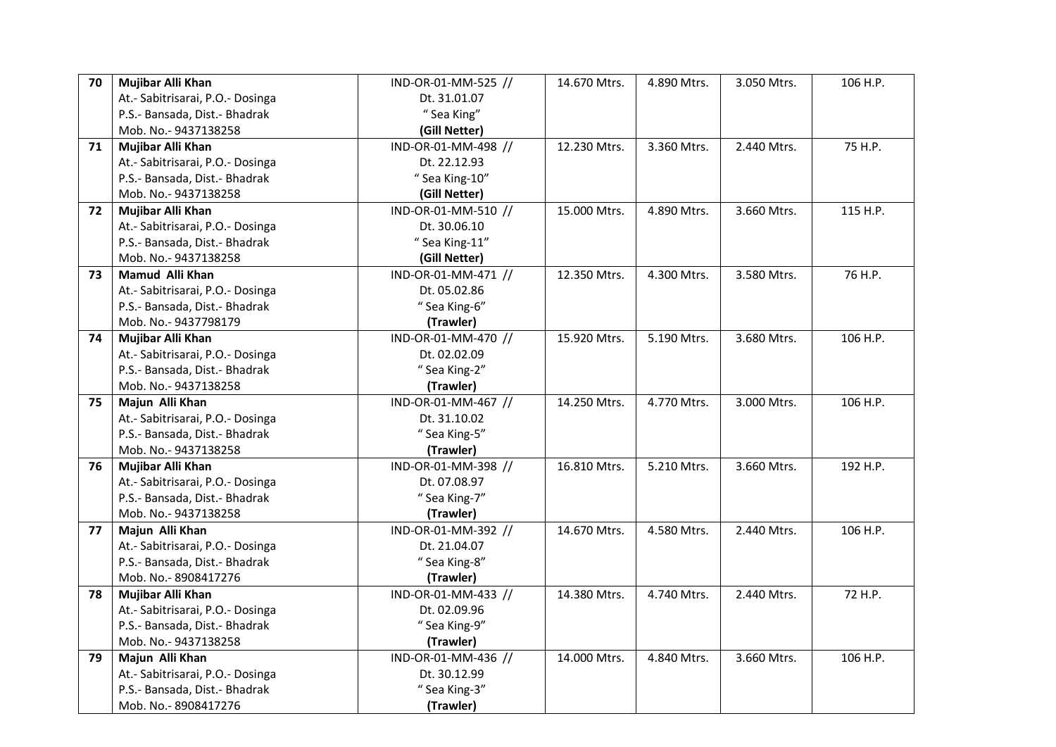| 70 | Mujibar Alli Khan                                                 | IND-OR-01-MM-525 //              | 14.670 Mtrs. | 4.890 Mtrs. | 3.050 Mtrs. | 106 H.P. |
|----|-------------------------------------------------------------------|----------------------------------|--------------|-------------|-------------|----------|
|    | At.- Sabitrisarai, P.O.- Dosinga                                  | Dt. 31.01.07                     |              |             |             |          |
|    | P.S.- Bansada, Dist.- Bhadrak                                     | " Sea King"                      |              |             |             |          |
|    | Mob. No.- 9437138258                                              | (Gill Netter)                    |              |             |             |          |
| 71 | Mujibar Alli Khan                                                 | IND-OR-01-MM-498 //              | 12.230 Mtrs. | 3.360 Mtrs. | 2.440 Mtrs. | 75 H.P.  |
|    | At.- Sabitrisarai, P.O.- Dosinga                                  | Dt. 22.12.93                     |              |             |             |          |
|    | P.S.- Bansada, Dist.- Bhadrak                                     | "Sea King-10"                    |              |             |             |          |
|    | Mob. No.- 9437138258                                              | (Gill Netter)                    |              |             |             |          |
| 72 | Mujibar Alli Khan                                                 | IND-OR-01-MM-510 //              | 15.000 Mtrs. | 4.890 Mtrs. | 3.660 Mtrs. | 115 H.P. |
|    | At.- Sabitrisarai, P.O.- Dosinga                                  | Dt. 30.06.10                     |              |             |             |          |
|    | P.S.- Bansada, Dist.- Bhadrak                                     | "Sea King-11"                    |              |             |             |          |
|    | Mob. No.- 9437138258                                              | (Gill Netter)                    |              |             |             |          |
| 73 | Mamud Alli Khan                                                   | IND-OR-01-MM-471 //              | 12.350 Mtrs. | 4.300 Mtrs. | 3.580 Mtrs. | 76 H.P.  |
|    | At.- Sabitrisarai, P.O.- Dosinga                                  | Dt. 05.02.86                     |              |             |             |          |
|    | P.S.- Bansada, Dist.- Bhadrak                                     | "Sea King-6"                     |              |             |             |          |
|    | Mob. No.- 9437798179                                              | (Trawler)                        |              |             |             |          |
| 74 | Mujibar Alli Khan                                                 | IND-OR-01-MM-470 //              | 15.920 Mtrs. | 5.190 Mtrs. | 3.680 Mtrs. | 106 H.P. |
|    | At.- Sabitrisarai, P.O.- Dosinga                                  | Dt. 02.02.09                     |              |             |             |          |
|    | P.S.- Bansada, Dist.- Bhadrak                                     | "Sea King-2"                     |              |             |             |          |
|    | Mob. No.- 9437138258                                              | (Trawler)                        |              |             |             |          |
|    | Majun Alli Khan                                                   | IND-OR-01-MM-467 //              | 14.250 Mtrs. | 4.770 Mtrs. | 3.000 Mtrs. | 106 H.P. |
| 75 |                                                                   |                                  |              |             |             |          |
|    | At.- Sabitrisarai, P.O.- Dosinga                                  | Dt. 31.10.02                     |              |             |             |          |
|    | P.S.- Bansada, Dist.- Bhadrak                                     | " Sea King-5"                    |              |             |             |          |
|    | Mob. No.-9437138258                                               | (Trawler)                        |              |             |             |          |
| 76 | Mujibar Alli Khan                                                 | IND-OR-01-MM-398 //              | 16.810 Mtrs. | 5.210 Mtrs. | 3.660 Mtrs. | 192 H.P. |
|    |                                                                   | Dt. 07.08.97                     |              |             |             |          |
|    | At.- Sabitrisarai, P.O.- Dosinga<br>P.S.- Bansada, Dist.- Bhadrak | "Sea King-7"                     |              |             |             |          |
|    | Mob. No.-9437138258                                               | (Trawler)                        |              |             |             |          |
| 77 | Majun Alli Khan                                                   | IND-OR-01-MM-392 //              | 14.670 Mtrs. | 4.580 Mtrs. | 2.440 Mtrs. | 106 H.P. |
|    | At.- Sabitrisarai, P.O.- Dosinga                                  | Dt. 21.04.07                     |              |             |             |          |
|    | P.S.- Bansada, Dist.- Bhadrak                                     | "Sea King-8"                     |              |             |             |          |
|    | Mob. No.-8908417276                                               | (Trawler)                        |              |             |             |          |
| 78 | Mujibar Alli Khan                                                 | IND-OR-01-MM-433 //              | 14.380 Mtrs. | 4.740 Mtrs. | 2.440 Mtrs. | 72 H.P.  |
|    |                                                                   | Dt. 02.09.96                     |              |             |             |          |
|    | At.- Sabitrisarai, P.O.- Dosinga<br>P.S.- Bansada, Dist.- Bhadrak |                                  |              |             |             |          |
|    | Mob. No.- 9437138258                                              | " Sea King-9"                    |              |             |             |          |
| 79 | Majun Alli Khan                                                   | (Trawler)<br>IND-OR-01-MM-436 // | 14.000 Mtrs. | 4.840 Mtrs. | 3.660 Mtrs. | 106 H.P. |
|    | At.- Sabitrisarai, P.O.- Dosinga                                  | Dt. 30.12.99                     |              |             |             |          |
|    | P.S.- Bansada, Dist.- Bhadrak                                     | "Sea King-3"                     |              |             |             |          |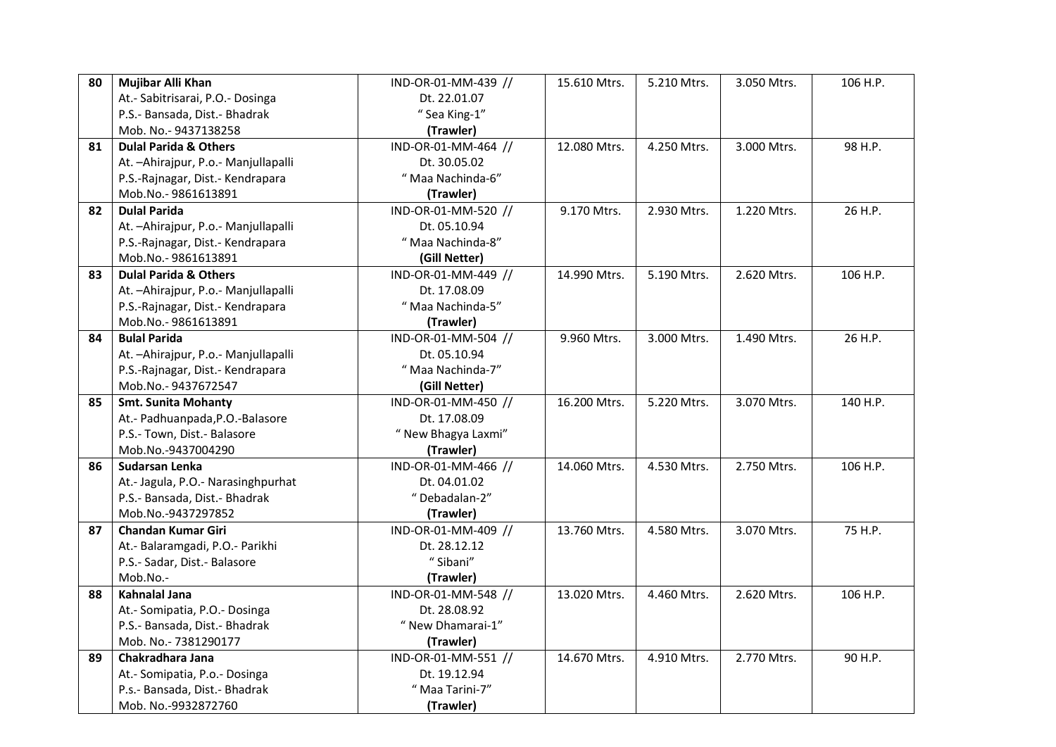| 80 | Mujibar Alli Khan                                                   | IND-OR-01-MM-439 // | 15.610 Mtrs. | 5.210 Mtrs. | 3.050 Mtrs. | 106 H.P. |
|----|---------------------------------------------------------------------|---------------------|--------------|-------------|-------------|----------|
|    | At.- Sabitrisarai, P.O.- Dosinga                                    | Dt. 22.01.07        |              |             |             |          |
|    | P.S.- Bansada, Dist.- Bhadrak                                       | "Sea King-1"        |              |             |             |          |
|    | Mob. No.- 9437138258                                                | (Trawler)           |              |             |             |          |
| 81 | <b>Dulal Parida &amp; Others</b>                                    | IND-OR-01-MM-464 // | 12.080 Mtrs. | 4.250 Mtrs. | 3.000 Mtrs. | 98 H.P.  |
|    | At. - Ahirajpur, P.o. - Manjullapalli                               | Dt. 30.05.02        |              |             |             |          |
|    | P.S.-Rajnagar, Dist.- Kendrapara                                    | "Maa Nachinda-6"    |              |             |             |          |
|    | Mob.No.-9861613891                                                  | (Trawler)           |              |             |             |          |
| 82 | <b>Dulal Parida</b>                                                 | IND-OR-01-MM-520 // | 9.170 Mtrs.  | 2.930 Mtrs. | 1.220 Mtrs. | 26 H.P.  |
|    | At. - Ahirajpur, P.o. - Manjullapalli                               | Dt. 05.10.94        |              |             |             |          |
|    | P.S.-Rajnagar, Dist.- Kendrapara                                    | "Maa Nachinda-8"    |              |             |             |          |
|    | Mob.No.-9861613891                                                  | (Gill Netter)       |              |             |             |          |
| 83 | <b>Dulal Parida &amp; Others</b>                                    | IND-OR-01-MM-449 // | 14.990 Mtrs. | 5.190 Mtrs. | 2.620 Mtrs. | 106 H.P. |
|    | At. - Ahirajpur, P.o. - Manjullapalli                               | Dt. 17.08.09        |              |             |             |          |
|    | P.S.-Rajnagar, Dist.- Kendrapara                                    | "Maa Nachinda-5"    |              |             |             |          |
|    | Mob.No.-9861613891                                                  | (Trawler)           |              |             |             |          |
| 84 | <b>Bulal Parida</b>                                                 | IND-OR-01-MM-504 // | 9.960 Mtrs.  | 3.000 Mtrs. | 1.490 Mtrs. | 26 H.P.  |
|    | At. - Ahirajpur, P.o. - Manjullapalli                               | Dt. 05.10.94        |              |             |             |          |
|    | P.S.-Rajnagar, Dist.- Kendrapara                                    | "Maa Nachinda-7"    |              |             |             |          |
|    | Mob.No.-9437672547                                                  | (Gill Netter)       |              |             |             |          |
| 85 | <b>Smt. Sunita Mohanty</b>                                          | IND-OR-01-MM-450 // | 16.200 Mtrs. | 5.220 Mtrs. | 3.070 Mtrs. | 140 H.P. |
|    |                                                                     |                     |              |             |             |          |
|    | At.- Padhuanpada, P.O.-Balasore                                     | Dt. 17.08.09        |              |             |             |          |
|    | P.S.- Town, Dist.- Balasore                                         | " New Bhagya Laxmi" |              |             |             |          |
|    | Mob.No.-9437004290                                                  | (Trawler)           |              |             |             |          |
| 86 | Sudarsan Lenka                                                      | IND-OR-01-MM-466 // | 14.060 Mtrs. | 4.530 Mtrs. | 2.750 Mtrs. | 106 H.P. |
|    |                                                                     | Dt. 04.01.02        |              |             |             |          |
|    | At.- Jagula, P.O.- Narasinghpurhat<br>P.S.- Bansada, Dist.- Bhadrak | "Debadalan-2"       |              |             |             |          |
|    | Mob.No.-9437297852                                                  | (Trawler)           |              |             |             |          |
| 87 | <b>Chandan Kumar Giri</b>                                           | IND-OR-01-MM-409 // | 13.760 Mtrs. | 4.580 Mtrs. | 3.070 Mtrs. | 75 H.P.  |
|    | At.- Balaramgadi, P.O.- Parikhi                                     | Dt. 28.12.12        |              |             |             |          |
|    | P.S.- Sadar, Dist.- Balasore                                        | "Sibani"            |              |             |             |          |
|    | Mob.No.-                                                            | (Trawler)           |              |             |             |          |
| 88 | <b>Kahnalal Jana</b>                                                | IND-OR-01-MM-548 // | 13.020 Mtrs. | 4.460 Mtrs. | 2.620 Mtrs. | 106 H.P. |
|    | At.- Somipatia, P.O.- Dosinga                                       | Dt. 28.08.92        |              |             |             |          |
|    | P.S.- Bansada, Dist.- Bhadrak                                       | " New Dhamarai-1"   |              |             |             |          |
|    | Mob. No.- 7381290177                                                | (Trawler)           |              |             |             |          |
| 89 | Chakradhara Jana                                                    | IND-OR-01-MM-551 // | 14.670 Mtrs. | 4.910 Mtrs. | 2.770 Mtrs. | 90 H.P.  |
|    | At.- Somipatia, P.o.- Dosinga                                       | Dt. 19.12.94        |              |             |             |          |
|    | P.s.- Bansada, Dist.- Bhadrak                                       | "Maa Tarini-7"      |              |             |             |          |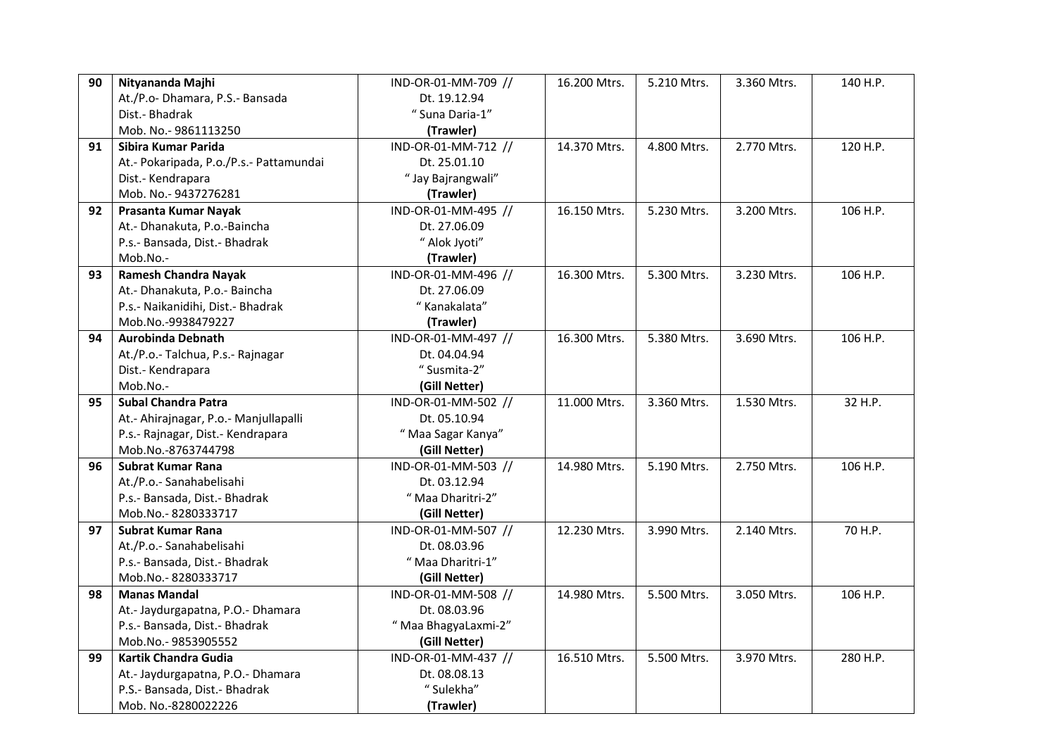| 90 | Nityananda Majhi                        | IND-OR-01-MM-709 // | 16.200 Mtrs. | 5.210 Mtrs. | 3.360 Mtrs. | 140 H.P. |
|----|-----------------------------------------|---------------------|--------------|-------------|-------------|----------|
|    | At./P.o- Dhamara, P.S.- Bansada         | Dt. 19.12.94        |              |             |             |          |
|    | Dist.- Bhadrak                          | "Suna Daria-1"      |              |             |             |          |
|    | Mob. No.- 9861113250                    | (Trawler)           |              |             |             |          |
| 91 | Sibira Kumar Parida                     | IND-OR-01-MM-712 // | 14.370 Mtrs. | 4.800 Mtrs. | 2.770 Mtrs. | 120 H.P. |
|    | At.- Pokaripada, P.o./P.s.- Pattamundai | Dt. 25.01.10        |              |             |             |          |
|    | Dist.- Kendrapara                       | "Jay Bajrangwali"   |              |             |             |          |
|    | Mob. No.- 9437276281                    | (Trawler)           |              |             |             |          |
| 92 | Prasanta Kumar Nayak                    | IND-OR-01-MM-495 // | 16.150 Mtrs. | 5.230 Mtrs. | 3.200 Mtrs. | 106 H.P. |
|    | At.- Dhanakuta, P.o.-Baincha            | Dt. 27.06.09        |              |             |             |          |
|    | P.s.- Bansada, Dist.- Bhadrak           | " Alok Jyoti"       |              |             |             |          |
|    | Mob.No.-                                | (Trawler)           |              |             |             |          |
| 93 | <b>Ramesh Chandra Nayak</b>             | IND-OR-01-MM-496 // | 16.300 Mtrs. | 5.300 Mtrs. | 3.230 Mtrs. | 106 H.P. |
|    | At.- Dhanakuta, P.o.- Baincha           | Dt. 27.06.09        |              |             |             |          |
|    | P.s.- Naikanidihi, Dist.- Bhadrak       | "Kanakalata"        |              |             |             |          |
|    | Mob.No.-9938479227                      | (Trawler)           |              |             |             |          |
| 94 | <b>Aurobinda Debnath</b>                | IND-OR-01-MM-497 // | 16.300 Mtrs. | 5.380 Mtrs. | 3.690 Mtrs. | 106 H.P. |
|    | At./P.o.- Talchua, P.s.- Rajnagar       | Dt. 04.04.94        |              |             |             |          |
|    | Dist.- Kendrapara                       | "Susmita-2"         |              |             |             |          |
|    | Mob.No.-                                | (Gill Netter)       |              |             |             |          |
| 95 | <b>Subal Chandra Patra</b>              | IND-OR-01-MM-502 // | 11.000 Mtrs. | 3.360 Mtrs. | 1.530 Mtrs. | 32 H.P.  |
|    | At.- Ahirajnagar, P.o.- Manjullapalli   | Dt. 05.10.94        |              |             |             |          |
|    | P.s.- Rajnagar, Dist.- Kendrapara       | " Maa Sagar Kanya"  |              |             |             |          |
|    | Mob.No.-8763744798                      | (Gill Netter)       |              |             |             |          |
| 96 | <b>Subrat Kumar Rana</b>                | IND-OR-01-MM-503 // | 14.980 Mtrs. | 5.190 Mtrs. | 2.750 Mtrs. | 106 H.P. |
|    | At./P.o.- Sanahabelisahi                | Dt. 03.12.94        |              |             |             |          |
|    | P.s.- Bansada, Dist.- Bhadrak           | "Maa Dharitri-2"    |              |             |             |          |
|    | Mob.No.-8280333717                      | (Gill Netter)       |              |             |             |          |
| 97 | <b>Subrat Kumar Rana</b>                | IND-OR-01-MM-507 // | 12.230 Mtrs. | 3.990 Mtrs. | 2.140 Mtrs. | 70 H.P.  |
|    | At./P.o.- Sanahabelisahi                | Dt. 08.03.96        |              |             |             |          |
|    | P.s.- Bansada, Dist.- Bhadrak           | "Maa Dharitri-1"    |              |             |             |          |
|    | Mob.No.-8280333717                      | (Gill Netter)       |              |             |             |          |
| 98 | <b>Manas Mandal</b>                     | IND-OR-01-MM-508 // | 14.980 Mtrs. | 5.500 Mtrs. | 3.050 Mtrs. | 106 H.P. |
|    | At.- Jaydurgapatna, P.O.- Dhamara       | Dt. 08.03.96        |              |             |             |          |
|    | P.s.- Bansada, Dist.- Bhadrak           | "Maa BhagyaLaxmi-2" |              |             |             |          |
|    | Mob.No.-9853905552                      | (Gill Netter)       |              |             |             |          |
| 99 | Kartik Chandra Gudia                    | IND-OR-01-MM-437 // | 16.510 Mtrs. | 5.500 Mtrs. | 3.970 Mtrs. | 280 H.P. |
|    | At.- Jaydurgapatna, P.O.- Dhamara       | Dt. 08.08.13        |              |             |             |          |
|    | P.S.- Bansada, Dist.- Bhadrak           | "Sulekha"           |              |             |             |          |
|    | Mob. No.-8280022226                     | (Trawler)           |              |             |             |          |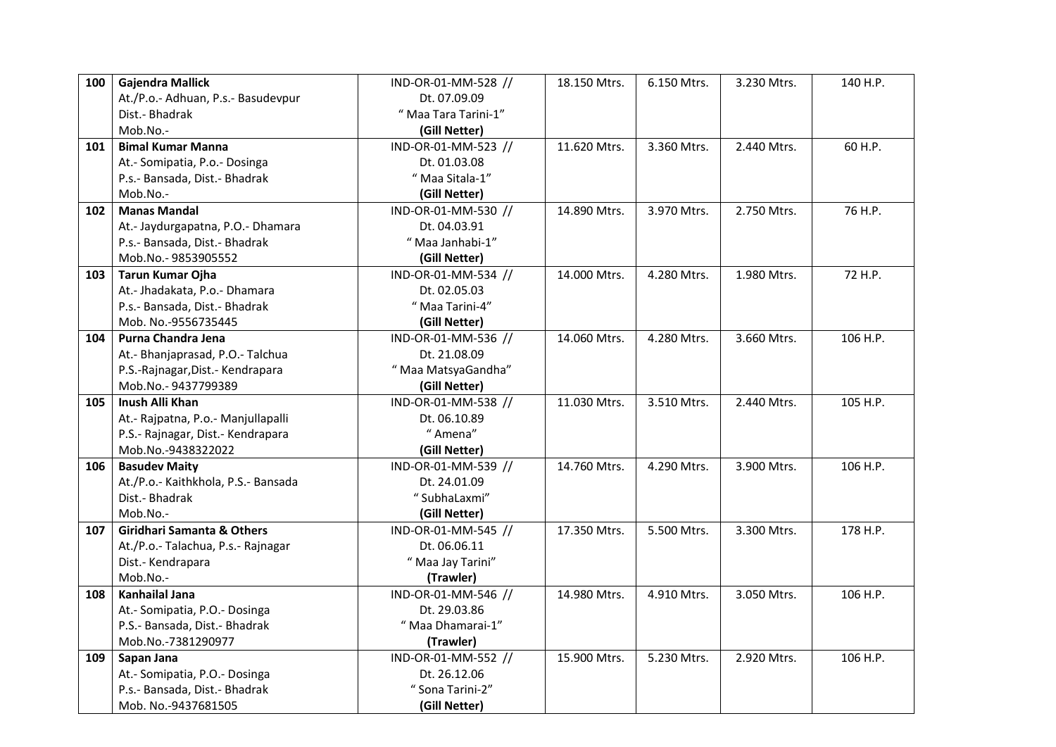| 100 | <b>Gajendra Mallick</b>                                 | IND-OR-01-MM-528 //  | 18.150 Mtrs. | 6.150 Mtrs. | 3.230 Mtrs. | 140 H.P. |
|-----|---------------------------------------------------------|----------------------|--------------|-------------|-------------|----------|
|     | At./P.o.- Adhuan, P.s.- Basudevpur                      | Dt. 07.09.09         |              |             |             |          |
|     | Dist.- Bhadrak                                          | " Maa Tara Tarini-1" |              |             |             |          |
|     | Mob.No.-                                                | (Gill Netter)        |              |             |             |          |
| 101 | <b>Bimal Kumar Manna</b>                                | IND-OR-01-MM-523 //  | 11.620 Mtrs. | 3.360 Mtrs. | 2.440 Mtrs. | 60 H.P.  |
|     | At.- Somipatia, P.o.- Dosinga                           | Dt. 01.03.08         |              |             |             |          |
|     | P.s.- Bansada, Dist.- Bhadrak                           | " Maa Sitala-1"      |              |             |             |          |
|     | Mob.No.-                                                | (Gill Netter)        |              |             |             |          |
| 102 | <b>Manas Mandal</b>                                     | IND-OR-01-MM-530 //  | 14.890 Mtrs. | 3.970 Mtrs. | 2.750 Mtrs. | 76 H.P.  |
|     | At.- Jaydurgapatna, P.O.- Dhamara                       | Dt. 04.03.91         |              |             |             |          |
|     | P.s.- Bansada, Dist.- Bhadrak                           | "Maa Janhabi-1"      |              |             |             |          |
|     | Mob.No.-9853905552                                      | (Gill Netter)        |              |             |             |          |
| 103 | Tarun Kumar Ojha                                        | IND-OR-01-MM-534 //  | 14.000 Mtrs. | 4.280 Mtrs. | 1.980 Mtrs. | 72 H.P.  |
|     | At.- Jhadakata, P.o.- Dhamara                           | Dt. 02.05.03         |              |             |             |          |
|     | P.s.- Bansada, Dist.- Bhadrak                           | "Maa Tarini-4"       |              |             |             |          |
|     | Mob. No.-9556735445                                     | (Gill Netter)        |              |             |             |          |
| 104 | Purna Chandra Jena                                      | IND-OR-01-MM-536 //  | 14.060 Mtrs. | 4.280 Mtrs. | 3.660 Mtrs. | 106 H.P. |
|     | At.- Bhanjaprasad, P.O.- Talchua                        | Dt. 21.08.09         |              |             |             |          |
|     | P.S.-Rajnagar, Dist.- Kendrapara                        | "Maa MatsyaGandha"   |              |             |             |          |
|     | Mob.No.-9437799389                                      | (Gill Netter)        |              |             |             |          |
| 105 | Inush Alli Khan                                         | IND-OR-01-MM-538 //  | 11.030 Mtrs. | 3.510 Mtrs. | 2.440 Mtrs. | 105 H.P. |
|     | At.- Rajpatna, P.o.- Manjullapalli                      | Dt. 06.10.89         |              |             |             |          |
|     |                                                         |                      |              |             |             |          |
|     |                                                         | "Amena"              |              |             |             |          |
|     | P.S.- Rajnagar, Dist.- Kendrapara<br>Mob.No.-9438322022 | (Gill Netter)        |              |             |             |          |
| 106 | <b>Basudev Maity</b>                                    | IND-OR-01-MM-539 //  | 14.760 Mtrs. | 4.290 Mtrs. | 3.900 Mtrs. | 106 H.P. |
|     |                                                         | Dt. 24.01.09         |              |             |             |          |
|     | At./P.o.- Kaithkhola, P.S.- Bansada<br>Dist.- Bhadrak   | "SubhaLaxmi"         |              |             |             |          |
|     | Mob.No.-                                                | (Gill Netter)        |              |             |             |          |
| 107 | <b>Giridhari Samanta &amp; Others</b>                   | IND-OR-01-MM-545 //  | 17.350 Mtrs. | 5.500 Mtrs. | 3.300 Mtrs. | 178 H.P. |
|     | At./P.o.- Talachua, P.s.- Rajnagar                      | Dt. 06.06.11         |              |             |             |          |
|     | Dist.- Kendrapara                                       | " Maa Jay Tarini"    |              |             |             |          |
|     | Mob.No.-                                                | (Trawler)            |              |             |             |          |
| 108 | <b>Kanhailal Jana</b>                                   | IND-OR-01-MM-546 //  | 14.980 Mtrs. | 4.910 Mtrs. | 3.050 Mtrs. | 106 H.P. |
|     | At.- Somipatia, P.O.- Dosinga                           | Dt. 29.03.86         |              |             |             |          |
|     | P.S.- Bansada, Dist.- Bhadrak                           | " Maa Dhamarai-1"    |              |             |             |          |
|     | Mob.No.-7381290977                                      | (Trawler)            |              |             |             |          |
| 109 | Sapan Jana                                              | IND-OR-01-MM-552 //  | 15.900 Mtrs. | 5.230 Mtrs. | 2.920 Mtrs. | 106 H.P. |
|     | At.- Somipatia, P.O.- Dosinga                           | Dt. 26.12.06         |              |             |             |          |
|     | P.s.- Bansada, Dist.- Bhadrak                           | "Sona Tarini-2"      |              |             |             |          |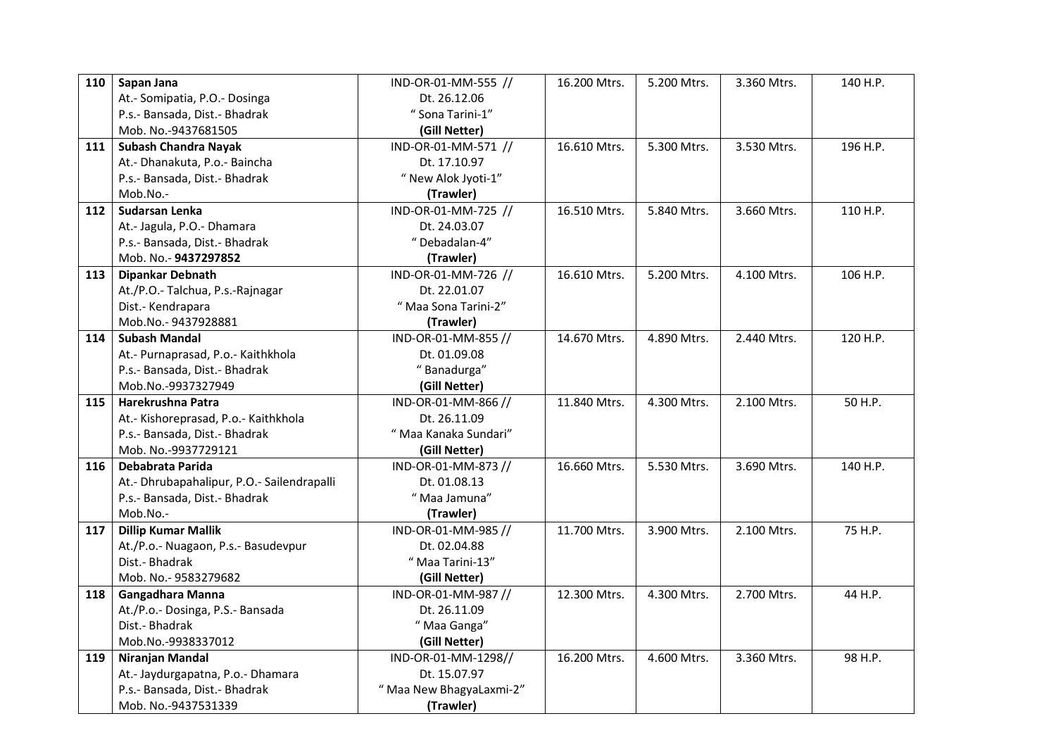| 110 | Sapan Jana                                 | IND-OR-01-MM-555 //     | 16.200 Mtrs. | 5.200 Mtrs. | 3.360 Mtrs. | 140 H.P. |
|-----|--------------------------------------------|-------------------------|--------------|-------------|-------------|----------|
|     | At.- Somipatia, P.O.- Dosinga              | Dt. 26.12.06            |              |             |             |          |
|     | P.s.- Bansada, Dist.- Bhadrak              | " Sona Tarini-1"        |              |             |             |          |
|     | Mob. No.-9437681505                        | (Gill Netter)           |              |             |             |          |
| 111 | <b>Subash Chandra Nayak</b>                | IND-OR-01-MM-571 //     | 16.610 Mtrs. | 5.300 Mtrs. | 3.530 Mtrs. | 196 H.P. |
|     | At.- Dhanakuta, P.o.- Baincha              | Dt. 17.10.97            |              |             |             |          |
|     | P.s.- Bansada, Dist.- Bhadrak              | " New Alok Jyoti-1"     |              |             |             |          |
|     | Mob.No.-                                   | (Trawler)               |              |             |             |          |
| 112 | Sudarsan Lenka                             | IND-OR-01-MM-725 //     | 16.510 Mtrs. | 5.840 Mtrs. | 3.660 Mtrs. | 110 H.P. |
|     | At.- Jagula, P.O.- Dhamara                 | Dt. 24.03.07            |              |             |             |          |
|     | P.s.- Bansada, Dist.- Bhadrak              | "Debadalan-4"           |              |             |             |          |
|     | Mob. No.- 9437297852                       | (Trawler)               |              |             |             |          |
| 113 | <b>Dipankar Debnath</b>                    | IND-OR-01-MM-726 //     | 16.610 Mtrs. | 5.200 Mtrs. | 4.100 Mtrs. | 106 H.P. |
|     | At./P.O.- Talchua, P.s.-Rajnagar           | Dt. 22.01.07            |              |             |             |          |
|     | Dist.- Kendrapara                          | " Maa Sona Tarini-2"    |              |             |             |          |
|     | Mob.No.-9437928881                         | (Trawler)               |              |             |             |          |
| 114 | <b>Subash Mandal</b>                       | IND-OR-01-MM-855 //     | 14.670 Mtrs. | 4.890 Mtrs. | 2.440 Mtrs. | 120 H.P. |
|     | At.- Purnaprasad, P.o.- Kaithkhola         | Dt. 01.09.08            |              |             |             |          |
|     | P.s.- Bansada, Dist.- Bhadrak              | "Banadurga"             |              |             |             |          |
|     | Mob.No.-9937327949                         | (Gill Netter)           |              |             |             |          |
| 115 | Harekrushna Patra                          | IND-OR-01-MM-866 //     | 11.840 Mtrs. | 4.300 Mtrs. | 2.100 Mtrs. | 50 H.P.  |
|     | At.- Kishoreprasad, P.o.- Kaithkhola       | Dt. 26.11.09            |              |             |             |          |
|     | P.s.- Bansada, Dist.- Bhadrak              | " Maa Kanaka Sundari"   |              |             |             |          |
|     | Mob. No.-9937729121                        | (Gill Netter)           |              |             |             |          |
| 116 | Debabrata Parida                           | IND-OR-01-MM-873 //     | 16.660 Mtrs. | 5.530 Mtrs. | 3.690 Mtrs. | 140 H.P. |
|     | At.- Dhrubapahalipur, P.O.- Sailendrapalli | Dt. 01.08.13            |              |             |             |          |
|     | P.s.- Bansada, Dist.- Bhadrak              | "Maa Jamuna"            |              |             |             |          |
|     | Mob.No.-                                   | (Trawler)               |              |             |             |          |
| 117 | <b>Dillip Kumar Mallik</b>                 | IND-OR-01-MM-985 //     | 11.700 Mtrs. | 3.900 Mtrs. | 2.100 Mtrs. | 75 H.P.  |
|     | At./P.o.- Nuagaon, P.s.- Basudevpur        | Dt. 02.04.88            |              |             |             |          |
|     | Dist.- Bhadrak                             | "Maa Tarini-13"         |              |             |             |          |
|     | Mob. No.- 9583279682                       | (Gill Netter)           |              |             |             |          |
| 118 | Gangadhara Manna                           | IND-OR-01-MM-987 //     | 12.300 Mtrs. | 4.300 Mtrs. | 2.700 Mtrs. | 44 H.P.  |
|     | At./P.o.- Dosinga, P.S.- Bansada           | Dt. 26.11.09            |              |             |             |          |
|     | Dist.- Bhadrak                             | " Maa Ganga"            |              |             |             |          |
|     | Mob.No.-9938337012                         | (Gill Netter)           |              |             |             |          |
| 119 | Niranjan Mandal                            | IND-OR-01-MM-1298//     | 16.200 Mtrs. | 4.600 Mtrs. | 3.360 Mtrs. | 98 H.P.  |
|     | At.- Jaydurgapatna, P.o.- Dhamara          | Dt. 15.07.97            |              |             |             |          |
|     | P.s.- Bansada, Dist.- Bhadrak              | "Maa New BhagyaLaxmi-2" |              |             |             |          |
|     | Mob. No.-9437531339                        | (Trawler)               |              |             |             |          |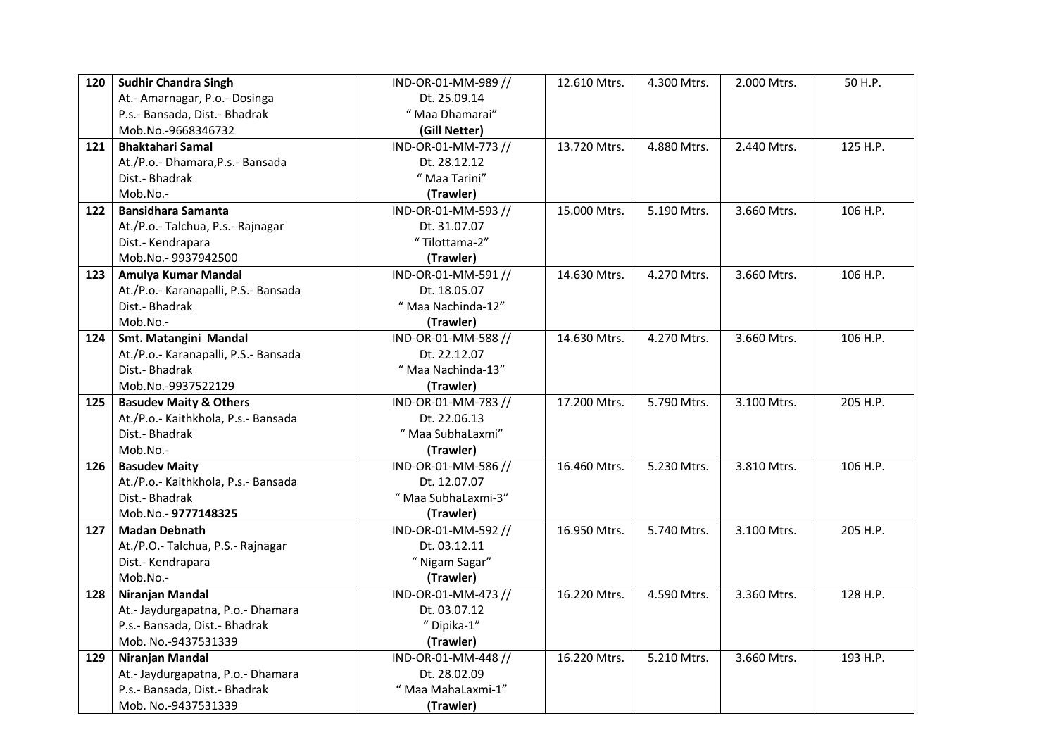| 120 | <b>Sudhir Chandra Singh</b>          | IND-OR-01-MM-989 // | 12.610 Mtrs. | 4.300 Mtrs. | 2.000 Mtrs. | 50 H.P.  |
|-----|--------------------------------------|---------------------|--------------|-------------|-------------|----------|
|     | At.- Amarnagar, P.o.- Dosinga        | Dt. 25.09.14        |              |             |             |          |
|     | P.s.- Bansada, Dist.- Bhadrak        | " Maa Dhamarai"     |              |             |             |          |
|     | Mob.No.-9668346732                   | (Gill Netter)       |              |             |             |          |
| 121 | <b>Bhaktahari Samal</b>              | IND-OR-01-MM-773 // | 13.720 Mtrs. | 4.880 Mtrs. | 2.440 Mtrs. | 125 H.P. |
|     | At./P.o.- Dhamara, P.s.- Bansada     | Dt. 28.12.12        |              |             |             |          |
|     | Dist.- Bhadrak                       | " Maa Tarini"       |              |             |             |          |
|     | Mob.No.-                             | (Trawler)           |              |             |             |          |
| 122 | <b>Bansidhara Samanta</b>            | IND-OR-01-MM-593 // | 15.000 Mtrs. | 5.190 Mtrs. | 3.660 Mtrs. | 106 H.P. |
|     | At./P.o.- Talchua, P.s.- Rajnagar    | Dt. 31.07.07        |              |             |             |          |
|     | Dist.- Kendrapara                    | "Tilottama-2"       |              |             |             |          |
|     | Mob.No.-9937942500                   | (Trawler)           |              |             |             |          |
| 123 | Amulya Kumar Mandal                  | IND-OR-01-MM-591 // | 14.630 Mtrs. | 4.270 Mtrs. | 3.660 Mtrs. | 106 H.P. |
|     | At./P.o.- Karanapalli, P.S.- Bansada | Dt. 18.05.07        |              |             |             |          |
|     | Dist.- Bhadrak                       | "Maa Nachinda-12"   |              |             |             |          |
|     | Mob.No.-                             | (Trawler)           |              |             |             |          |
| 124 | Smt. Matangini Mandal                | IND-OR-01-MM-588 // | 14.630 Mtrs. | 4.270 Mtrs. | 3.660 Mtrs. | 106 H.P. |
|     | At./P.o.- Karanapalli, P.S.- Bansada | Dt. 22.12.07        |              |             |             |          |
|     | Dist.- Bhadrak                       | "Maa Nachinda-13"   |              |             |             |          |
|     | Mob.No.-9937522129                   | (Trawler)           |              |             |             |          |
| 125 | <b>Basudev Maity &amp; Others</b>    | IND-OR-01-MM-783 // | 17.200 Mtrs. | 5.790 Mtrs. | 3.100 Mtrs. | 205 H.P. |
|     | At./P.o.- Kaithkhola, P.s.- Bansada  | Dt. 22.06.13        |              |             |             |          |
|     | Dist.- Bhadrak                       | " Maa SubhaLaxmi"   |              |             |             |          |
|     | Mob.No.-                             | (Trawler)           |              |             |             |          |
| 126 |                                      |                     |              |             |             |          |
|     | <b>Basudev Maity</b>                 | IND-OR-01-MM-586 // | 16.460 Mtrs. | 5.230 Mtrs. | 3.810 Mtrs. | 106 H.P. |
|     | At./P.o.- Kaithkhola, P.s.- Bansada  | Dt. 12.07.07        |              |             |             |          |
|     | Dist.- Bhadrak                       | "Maa SubhaLaxmi-3"  |              |             |             |          |
|     | Mob.No.-9777148325                   | (Trawler)           |              |             |             |          |
| 127 | <b>Madan Debnath</b>                 | IND-OR-01-MM-592 // | 16.950 Mtrs. | 5.740 Mtrs. | 3.100 Mtrs. | 205 H.P. |
|     | At./P.O.- Talchua, P.S.- Rajnagar    | Dt. 03.12.11        |              |             |             |          |
|     | Dist.- Kendrapara                    | " Nigam Sagar"      |              |             |             |          |
|     | Mob.No.-                             | (Trawler)           |              |             |             |          |
| 128 | Niranjan Mandal                      | IND-OR-01-MM-473 // | 16.220 Mtrs. | 4.590 Mtrs. | 3.360 Mtrs. | 128 H.P. |
|     | At.- Jaydurgapatna, P.o.- Dhamara    | Dt. 03.07.12        |              |             |             |          |
|     | P.s.- Bansada, Dist.- Bhadrak        | "Dipika-1"          |              |             |             |          |
|     | Mob. No.-9437531339                  | (Trawler)           |              |             |             |          |
| 129 | Niranjan Mandal                      | IND-OR-01-MM-448 // | 16.220 Mtrs. | 5.210 Mtrs. | 3.660 Mtrs. | 193 H.P. |
|     | At.- Jaydurgapatna, P.o.- Dhamara    | Dt. 28.02.09        |              |             |             |          |
|     | P.s.- Bansada, Dist.- Bhadrak        | " Maa MahaLaxmi-1"  |              |             |             |          |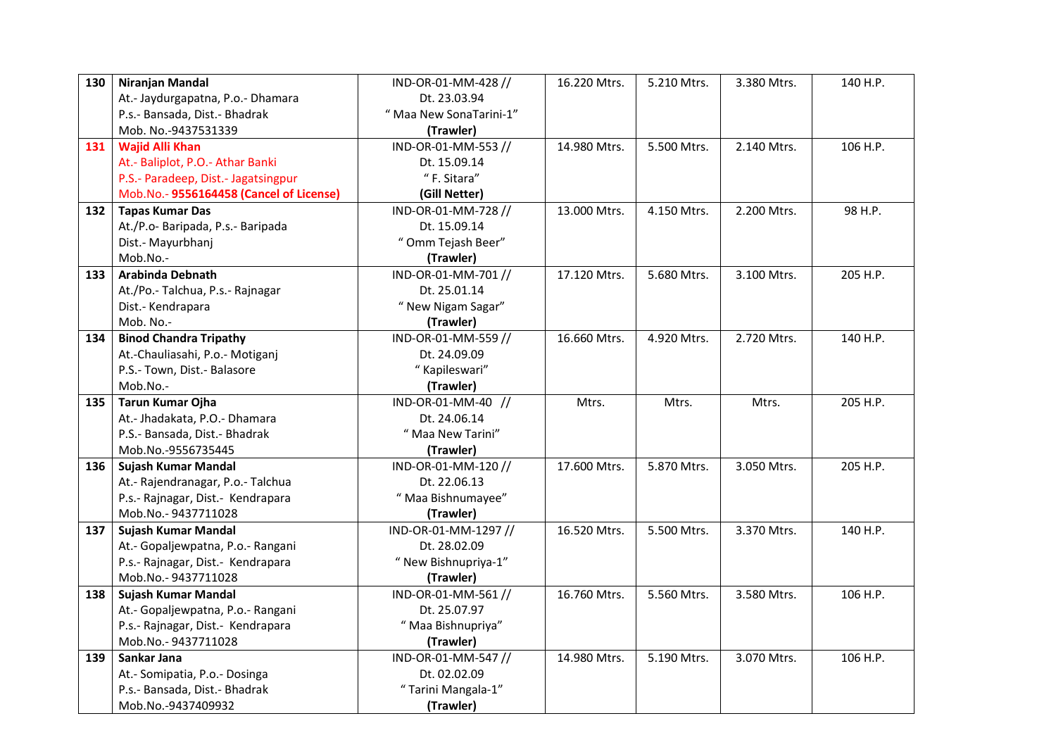| 130 | Niranjan Mandal                         | IND-OR-01-MM-428 //     | 16.220 Mtrs. | 5.210 Mtrs.              | 3.380 Mtrs. | 140 H.P. |
|-----|-----------------------------------------|-------------------------|--------------|--------------------------|-------------|----------|
|     | At.- Jaydurgapatna, P.o.- Dhamara       | Dt. 23.03.94            |              |                          |             |          |
|     | P.s.- Bansada, Dist.- Bhadrak           | " Maa New SonaTarini-1" |              |                          |             |          |
|     | Mob. No.-9437531339                     | (Trawler)               |              |                          |             |          |
| 131 | <b>Wajid Alli Khan</b>                  | IND-OR-01-MM-553 //     | 14.980 Mtrs. | 5.500 Mtrs.              | 2.140 Mtrs. | 106 H.P. |
|     | At.- Baliplot, P.O.- Athar Banki        | Dt. 15.09.14            |              |                          |             |          |
|     | P.S.- Paradeep, Dist.- Jagatsingpur     | "F. Sitara"             |              |                          |             |          |
|     | Mob.No.- 9556164458 (Cancel of License) | (Gill Netter)           |              |                          |             |          |
| 132 | <b>Tapas Kumar Das</b>                  | IND-OR-01-MM-728 //     | 13.000 Mtrs. | $\overline{4.150}$ Mtrs. | 2.200 Mtrs. | 98 H.P.  |
|     | At./P.o- Baripada, P.s.- Baripada       | Dt. 15.09.14            |              |                          |             |          |
|     | Dist.- Mayurbhanj                       | " Omm Tejash Beer"      |              |                          |             |          |
|     | Mob.No.-                                | (Trawler)               |              |                          |             |          |
| 133 | Arabinda Debnath                        | IND-OR-01-MM-701 //     | 17.120 Mtrs. | 5.680 Mtrs.              | 3.100 Mtrs. | 205 H.P. |
|     | At./Po.- Talchua, P.s.- Rajnagar        | Dt. 25.01.14            |              |                          |             |          |
|     | Dist.- Kendrapara                       | " New Nigam Sagar"      |              |                          |             |          |
|     | Mob. No.-                               | (Trawler)               |              |                          |             |          |
| 134 | <b>Binod Chandra Tripathy</b>           | IND-OR-01-MM-559 //     | 16.660 Mtrs. | 4.920 Mtrs.              | 2.720 Mtrs. | 140 H.P. |
|     | At.-Chauliasahi, P.o.- Motiganj         | Dt. 24.09.09            |              |                          |             |          |
|     | P.S.- Town, Dist.- Balasore             | " Kapileswari"          |              |                          |             |          |
|     | Mob.No.-                                | (Trawler)               |              |                          |             |          |
| 135 | <b>Tarun Kumar Ojha</b>                 | IND-OR-01-MM-40 //      | Mtrs.        | Mtrs.                    | Mtrs.       | 205 H.P. |
|     |                                         |                         |              |                          |             |          |
|     | At.- Jhadakata, P.O.- Dhamara           | Dt. 24.06.14            |              |                          |             |          |
|     | P.S.- Bansada, Dist.- Bhadrak           | " Maa New Tarini"       |              |                          |             |          |
|     | Mob.No.-9556735445                      | (Trawler)               |              |                          |             |          |
| 136 | Sujash Kumar Mandal                     | IND-OR-01-MM-120 //     | 17.600 Mtrs. | 5.870 Mtrs.              | 3.050 Mtrs. | 205 H.P. |
|     | At.- Rajendranagar, P.o.- Talchua       | Dt. 22.06.13            |              |                          |             |          |
|     | P.s.- Rajnagar, Dist.- Kendrapara       | " Maa Bishnumayee"      |              |                          |             |          |
|     | Mob.No.-9437711028                      | (Trawler)               |              |                          |             |          |
| 137 | Sujash Kumar Mandal                     | IND-OR-01-MM-1297 //    | 16.520 Mtrs. | 5.500 Mtrs.              | 3.370 Mtrs. | 140 H.P. |
|     | At.- Gopaljewpatna, P.o.- Rangani       | Dt. 28.02.09            |              |                          |             |          |
|     | P.s.- Rajnagar, Dist.- Kendrapara       | "New Bishnupriya-1"     |              |                          |             |          |
|     | Mob.No.-9437711028                      | (Trawler)               |              |                          |             |          |
| 138 | Sujash Kumar Mandal                     | IND-OR-01-MM-561 //     | 16.760 Mtrs. | 5.560 Mtrs.              | 3.580 Mtrs. | 106 H.P. |
|     | At.- Gopaljewpatna, P.o.- Rangani       | Dt. 25.07.97            |              |                          |             |          |
|     | P.s.- Rajnagar, Dist.- Kendrapara       | " Maa Bishnupriya"      |              |                          |             |          |
|     | Mob.No.-9437711028                      | (Trawler)               |              |                          |             |          |
| 139 | Sankar Jana                             | IND-OR-01-MM-547 //     | 14.980 Mtrs. | 5.190 Mtrs.              | 3.070 Mtrs. | 106 H.P. |
|     | At.- Somipatia, P.o.- Dosinga           | Dt. 02.02.09            |              |                          |             |          |
|     | P.s.- Bansada, Dist.- Bhadrak           | "Tarini Mangala-1"      |              |                          |             |          |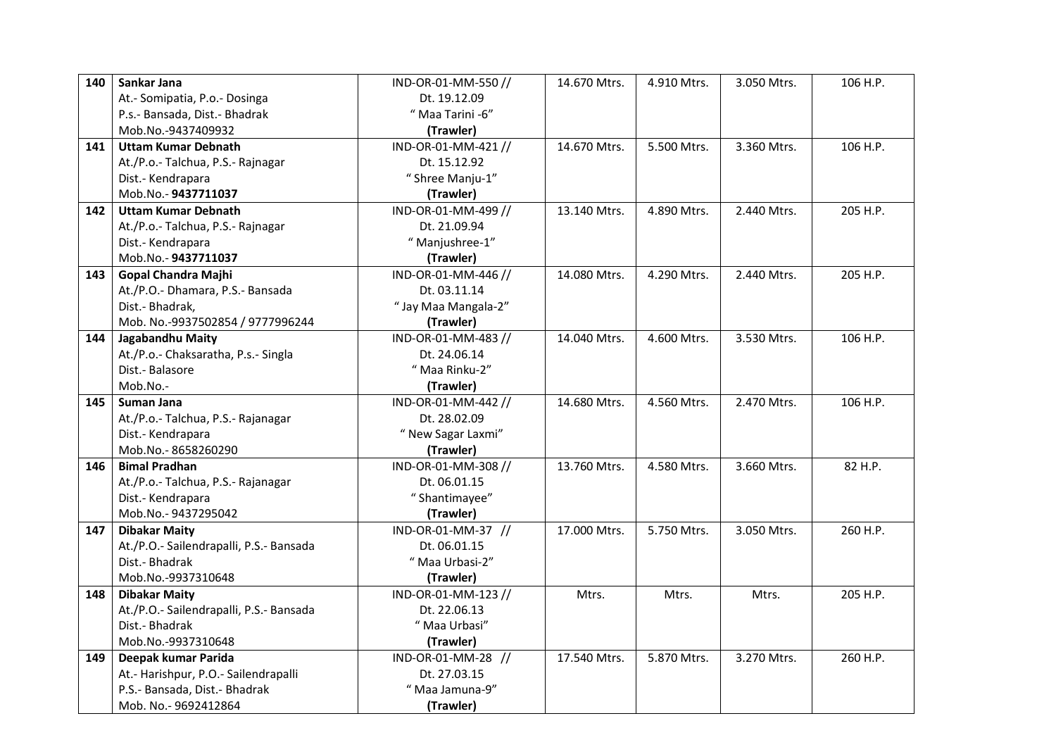| 140               | Sankar Jana                                                                                                                                                                                                                                                                                                                                                                                                                                                                                                                                                                                                                                                        | IND-OR-01-MM-550 //                                                                                                                                                                                                                                                                                                                                                                                                          | 14.670 Mtrs.                                                          | 4.910 Mtrs.                                                       | 3.050 Mtrs.                                                                      | 106 H.P.                                                |
|-------------------|--------------------------------------------------------------------------------------------------------------------------------------------------------------------------------------------------------------------------------------------------------------------------------------------------------------------------------------------------------------------------------------------------------------------------------------------------------------------------------------------------------------------------------------------------------------------------------------------------------------------------------------------------------------------|------------------------------------------------------------------------------------------------------------------------------------------------------------------------------------------------------------------------------------------------------------------------------------------------------------------------------------------------------------------------------------------------------------------------------|-----------------------------------------------------------------------|-------------------------------------------------------------------|----------------------------------------------------------------------------------|---------------------------------------------------------|
|                   | At.- Somipatia, P.o.- Dosinga                                                                                                                                                                                                                                                                                                                                                                                                                                                                                                                                                                                                                                      | Dt. 19.12.09                                                                                                                                                                                                                                                                                                                                                                                                                 |                                                                       |                                                                   |                                                                                  |                                                         |
|                   | P.s.- Bansada, Dist.- Bhadrak                                                                                                                                                                                                                                                                                                                                                                                                                                                                                                                                                                                                                                      | "Maa Tarini -6"                                                                                                                                                                                                                                                                                                                                                                                                              |                                                                       |                                                                   |                                                                                  |                                                         |
|                   | Mob.No.-9437409932                                                                                                                                                                                                                                                                                                                                                                                                                                                                                                                                                                                                                                                 | (Trawler)                                                                                                                                                                                                                                                                                                                                                                                                                    |                                                                       |                                                                   |                                                                                  |                                                         |
| 141               | <b>Uttam Kumar Debnath</b>                                                                                                                                                                                                                                                                                                                                                                                                                                                                                                                                                                                                                                         | IND-OR-01-MM-421 //                                                                                                                                                                                                                                                                                                                                                                                                          | 14.670 Mtrs.                                                          | 5.500 Mtrs.                                                       | 3.360 Mtrs.                                                                      | 106 H.P.                                                |
|                   | At./P.o.- Talchua, P.S.- Rajnagar                                                                                                                                                                                                                                                                                                                                                                                                                                                                                                                                                                                                                                  | Dt. 15.12.92                                                                                                                                                                                                                                                                                                                                                                                                                 |                                                                       |                                                                   |                                                                                  |                                                         |
|                   | Dist.- Kendrapara                                                                                                                                                                                                                                                                                                                                                                                                                                                                                                                                                                                                                                                  | "Shree Manju-1"                                                                                                                                                                                                                                                                                                                                                                                                              |                                                                       |                                                                   |                                                                                  |                                                         |
|                   | Mob.No.-9437711037                                                                                                                                                                                                                                                                                                                                                                                                                                                                                                                                                                                                                                                 | (Trawler)                                                                                                                                                                                                                                                                                                                                                                                                                    |                                                                       |                                                                   |                                                                                  |                                                         |
| 142               | <b>Uttam Kumar Debnath</b>                                                                                                                                                                                                                                                                                                                                                                                                                                                                                                                                                                                                                                         | IND-OR-01-MM-499 //                                                                                                                                                                                                                                                                                                                                                                                                          | 13.140 Mtrs.                                                          | 4.890 Mtrs.                                                       | 2.440 Mtrs.                                                                      | 205 H.P.                                                |
|                   | At./P.o.- Talchua, P.S.- Rajnagar                                                                                                                                                                                                                                                                                                                                                                                                                                                                                                                                                                                                                                  | Dt. 21.09.94                                                                                                                                                                                                                                                                                                                                                                                                                 |                                                                       |                                                                   |                                                                                  |                                                         |
|                   | Dist.- Kendrapara                                                                                                                                                                                                                                                                                                                                                                                                                                                                                                                                                                                                                                                  | "Manjushree-1"                                                                                                                                                                                                                                                                                                                                                                                                               |                                                                       |                                                                   |                                                                                  |                                                         |
|                   | Mob.No.-9437711037                                                                                                                                                                                                                                                                                                                                                                                                                                                                                                                                                                                                                                                 | (Trawler)                                                                                                                                                                                                                                                                                                                                                                                                                    |                                                                       |                                                                   |                                                                                  |                                                         |
| 143               | <b>Gopal Chandra Majhi</b>                                                                                                                                                                                                                                                                                                                                                                                                                                                                                                                                                                                                                                         | IND-OR-01-MM-446 //                                                                                                                                                                                                                                                                                                                                                                                                          | 14.080 Mtrs.                                                          | 4.290 Mtrs.                                                       | 2.440 Mtrs.                                                                      | 205 H.P.                                                |
|                   | At./P.O.- Dhamara, P.S.- Bansada                                                                                                                                                                                                                                                                                                                                                                                                                                                                                                                                                                                                                                   | Dt. 03.11.14                                                                                                                                                                                                                                                                                                                                                                                                                 |                                                                       |                                                                   |                                                                                  |                                                         |
|                   | Dist.- Bhadrak,                                                                                                                                                                                                                                                                                                                                                                                                                                                                                                                                                                                                                                                    | "Jay Maa Mangala-2"                                                                                                                                                                                                                                                                                                                                                                                                          |                                                                       |                                                                   |                                                                                  |                                                         |
|                   |                                                                                                                                                                                                                                                                                                                                                                                                                                                                                                                                                                                                                                                                    |                                                                                                                                                                                                                                                                                                                                                                                                                              |                                                                       |                                                                   |                                                                                  |                                                         |
| 144               |                                                                                                                                                                                                                                                                                                                                                                                                                                                                                                                                                                                                                                                                    |                                                                                                                                                                                                                                                                                                                                                                                                                              | 14.040 Mtrs.                                                          | 4.600 Mtrs.                                                       |                                                                                  | 106 H.P.                                                |
|                   |                                                                                                                                                                                                                                                                                                                                                                                                                                                                                                                                                                                                                                                                    |                                                                                                                                                                                                                                                                                                                                                                                                                              |                                                                       |                                                                   |                                                                                  |                                                         |
|                   |                                                                                                                                                                                                                                                                                                                                                                                                                                                                                                                                                                                                                                                                    |                                                                                                                                                                                                                                                                                                                                                                                                                              |                                                                       |                                                                   |                                                                                  |                                                         |
|                   |                                                                                                                                                                                                                                                                                                                                                                                                                                                                                                                                                                                                                                                                    |                                                                                                                                                                                                                                                                                                                                                                                                                              |                                                                       |                                                                   |                                                                                  |                                                         |
| 145               | Suman Jana                                                                                                                                                                                                                                                                                                                                                                                                                                                                                                                                                                                                                                                         |                                                                                                                                                                                                                                                                                                                                                                                                                              |                                                                       |                                                                   |                                                                                  |                                                         |
|                   |                                                                                                                                                                                                                                                                                                                                                                                                                                                                                                                                                                                                                                                                    |                                                                                                                                                                                                                                                                                                                                                                                                                              |                                                                       |                                                                   |                                                                                  |                                                         |
|                   |                                                                                                                                                                                                                                                                                                                                                                                                                                                                                                                                                                                                                                                                    |                                                                                                                                                                                                                                                                                                                                                                                                                              |                                                                       |                                                                   |                                                                                  |                                                         |
|                   |                                                                                                                                                                                                                                                                                                                                                                                                                                                                                                                                                                                                                                                                    |                                                                                                                                                                                                                                                                                                                                                                                                                              |                                                                       |                                                                   |                                                                                  |                                                         |
| 146               |                                                                                                                                                                                                                                                                                                                                                                                                                                                                                                                                                                                                                                                                    |                                                                                                                                                                                                                                                                                                                                                                                                                              |                                                                       |                                                                   |                                                                                  |                                                         |
|                   |                                                                                                                                                                                                                                                                                                                                                                                                                                                                                                                                                                                                                                                                    |                                                                                                                                                                                                                                                                                                                                                                                                                              |                                                                       |                                                                   |                                                                                  |                                                         |
|                   |                                                                                                                                                                                                                                                                                                                                                                                                                                                                                                                                                                                                                                                                    |                                                                                                                                                                                                                                                                                                                                                                                                                              |                                                                       |                                                                   |                                                                                  |                                                         |
|                   |                                                                                                                                                                                                                                                                                                                                                                                                                                                                                                                                                                                                                                                                    |                                                                                                                                                                                                                                                                                                                                                                                                                              |                                                                       |                                                                   |                                                                                  |                                                         |
|                   |                                                                                                                                                                                                                                                                                                                                                                                                                                                                                                                                                                                                                                                                    |                                                                                                                                                                                                                                                                                                                                                                                                                              |                                                                       |                                                                   |                                                                                  |                                                         |
|                   |                                                                                                                                                                                                                                                                                                                                                                                                                                                                                                                                                                                                                                                                    | Dt. 06.01.15                                                                                                                                                                                                                                                                                                                                                                                                                 |                                                                       |                                                                   |                                                                                  |                                                         |
|                   |                                                                                                                                                                                                                                                                                                                                                                                                                                                                                                                                                                                                                                                                    |                                                                                                                                                                                                                                                                                                                                                                                                                              |                                                                       |                                                                   |                                                                                  |                                                         |
|                   |                                                                                                                                                                                                                                                                                                                                                                                                                                                                                                                                                                                                                                                                    |                                                                                                                                                                                                                                                                                                                                                                                                                              |                                                                       |                                                                   |                                                                                  |                                                         |
|                   |                                                                                                                                                                                                                                                                                                                                                                                                                                                                                                                                                                                                                                                                    |                                                                                                                                                                                                                                                                                                                                                                                                                              |                                                                       |                                                                   |                                                                                  |                                                         |
|                   |                                                                                                                                                                                                                                                                                                                                                                                                                                                                                                                                                                                                                                                                    |                                                                                                                                                                                                                                                                                                                                                                                                                              |                                                                       |                                                                   |                                                                                  |                                                         |
|                   |                                                                                                                                                                                                                                                                                                                                                                                                                                                                                                                                                                                                                                                                    |                                                                                                                                                                                                                                                                                                                                                                                                                              |                                                                       |                                                                   |                                                                                  |                                                         |
|                   |                                                                                                                                                                                                                                                                                                                                                                                                                                                                                                                                                                                                                                                                    |                                                                                                                                                                                                                                                                                                                                                                                                                              |                                                                       |                                                                   |                                                                                  |                                                         |
|                   |                                                                                                                                                                                                                                                                                                                                                                                                                                                                                                                                                                                                                                                                    |                                                                                                                                                                                                                                                                                                                                                                                                                              |                                                                       |                                                                   |                                                                                  |                                                         |
|                   |                                                                                                                                                                                                                                                                                                                                                                                                                                                                                                                                                                                                                                                                    |                                                                                                                                                                                                                                                                                                                                                                                                                              |                                                                       |                                                                   |                                                                                  |                                                         |
|                   |                                                                                                                                                                                                                                                                                                                                                                                                                                                                                                                                                                                                                                                                    |                                                                                                                                                                                                                                                                                                                                                                                                                              |                                                                       |                                                                   |                                                                                  |                                                         |
|                   |                                                                                                                                                                                                                                                                                                                                                                                                                                                                                                                                                                                                                                                                    |                                                                                                                                                                                                                                                                                                                                                                                                                              |                                                                       |                                                                   |                                                                                  |                                                         |
| 147<br>148<br>149 | Mob. No.-9937502854 / 9777996244<br>Jagabandhu Maity<br>At./P.o.- Chaksaratha, P.s.- Singla<br>Dist.- Balasore<br>Mob.No.-<br>At./P.o.- Talchua, P.S.- Rajanagar<br>Dist.- Kendrapara<br>Mob.No.-8658260290<br><b>Bimal Pradhan</b><br>At./P.o.- Talchua, P.S.- Rajanagar<br>Dist.- Kendrapara<br>Mob.No.-9437295042<br><b>Dibakar Maity</b><br>At./P.O.- Sailendrapalli, P.S.- Bansada<br>Dist.- Bhadrak<br>Mob.No.-9937310648<br><b>Dibakar Maity</b><br>At./P.O.- Sailendrapalli, P.S.- Bansada<br>Dist.- Bhadrak<br>Mob.No.-9937310648<br>Deepak kumar Parida<br>At.- Harishpur, P.O.- Sailendrapalli<br>P.S.- Bansada, Dist.- Bhadrak<br>Mob. No.- 9692412864 | (Trawler)<br>IND-OR-01-MM-483 //<br>Dt. 24.06.14<br>"Maa Rinku-2"<br>(Trawler)<br>IND-OR-01-MM-442 //<br>Dt. 28.02.09<br>" New Sagar Laxmi"<br>(Trawler)<br>IND-OR-01-MM-308 //<br>Dt. 06.01.15<br>"Shantimayee"<br>(Trawler)<br>IND-OR-01-MM-37 //<br>"Maa Urbasi-2"<br>(Trawler)<br>IND-OR-01-MM-123 //<br>Dt. 22.06.13<br>" Maa Urbasi"<br>(Trawler)<br>IND-OR-01-MM-28 //<br>Dt. 27.03.15<br>"Maa Jamuna-9"<br>(Trawler) | 14.680 Mtrs.<br>13.760 Mtrs.<br>17.000 Mtrs.<br>Mtrs.<br>17.540 Mtrs. | 4.560 Mtrs.<br>4.580 Mtrs.<br>5.750 Mtrs.<br>Mtrs.<br>5.870 Mtrs. | 3.530 Mtrs.<br>2.470 Mtrs.<br>3.660 Mtrs.<br>3.050 Mtrs.<br>Mtrs.<br>3.270 Mtrs. | 106 H.P.<br>82 H.P.<br>260 H.P.<br>205 H.P.<br>260 H.P. |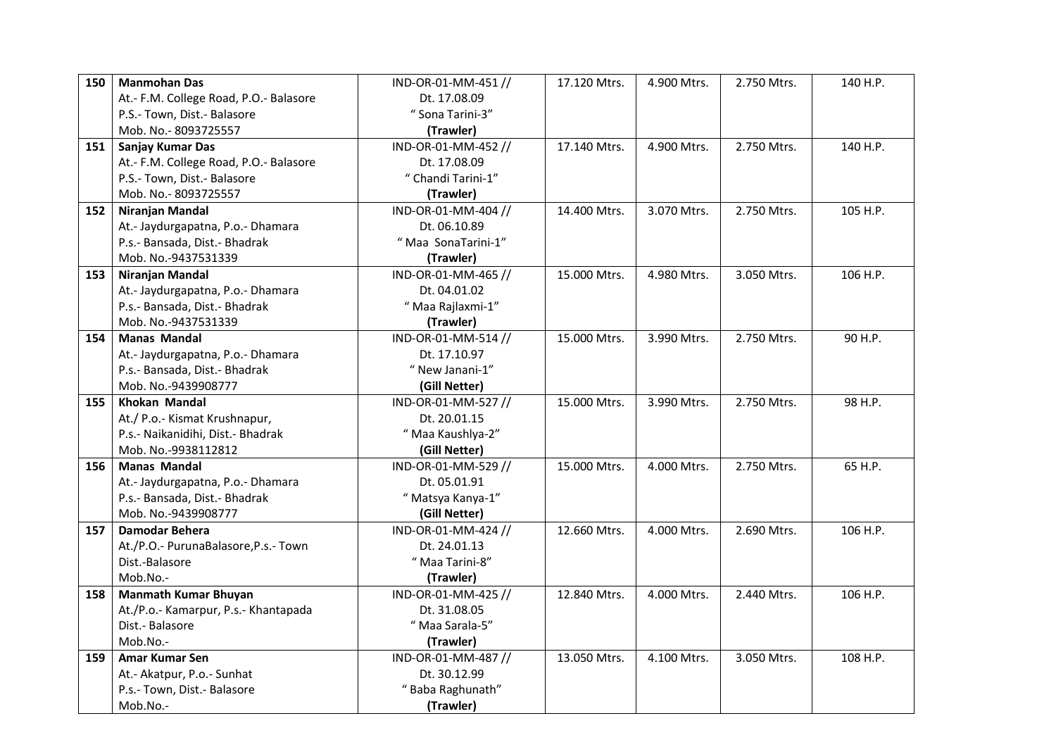| 150 | <b>Manmohan Das</b>                    | IND-OR-01-MM-451 // | 17.120 Mtrs. | 4.900 Mtrs. | 2.750 Mtrs. | 140 H.P. |
|-----|----------------------------------------|---------------------|--------------|-------------|-------------|----------|
|     | At.- F.M. College Road, P.O.- Balasore | Dt. 17.08.09        |              |             |             |          |
|     | P.S.- Town, Dist.- Balasore            | "Sona Tarini-3"     |              |             |             |          |
|     | Mob. No.-8093725557                    | (Trawler)           |              |             |             |          |
| 151 | <b>Sanjay Kumar Das</b>                | IND-OR-01-MM-452 // | 17.140 Mtrs. | 4.900 Mtrs. | 2.750 Mtrs. | 140 H.P. |
|     | At.- F.M. College Road, P.O.- Balasore | Dt. 17.08.09        |              |             |             |          |
|     | P.S.- Town, Dist.- Balasore            | " Chandi Tarini-1"  |              |             |             |          |
|     | Mob. No.-8093725557                    | (Trawler)           |              |             |             |          |
| 152 | Niranjan Mandal                        | IND-OR-01-MM-404 // | 14.400 Mtrs. | 3.070 Mtrs. | 2.750 Mtrs. | 105 H.P. |
|     | At.- Jaydurgapatna, P.o.- Dhamara      | Dt. 06.10.89        |              |             |             |          |
|     | P.s.- Bansada, Dist.- Bhadrak          | "Maa SonaTarini-1"  |              |             |             |          |
|     | Mob. No.-9437531339                    | (Trawler)           |              |             |             |          |
| 153 | Niranjan Mandal                        | IND-OR-01-MM-465 // | 15.000 Mtrs. | 4.980 Mtrs. | 3.050 Mtrs. | 106 H.P. |
|     | At.- Jaydurgapatna, P.o.- Dhamara      | Dt. 04.01.02        |              |             |             |          |
|     | P.s.- Bansada, Dist.- Bhadrak          | "Maa Rajlaxmi-1"    |              |             |             |          |
|     | Mob. No.-9437531339                    | (Trawler)           |              |             |             |          |
| 154 | <b>Manas Mandal</b>                    | IND-OR-01-MM-514 // | 15.000 Mtrs. | 3.990 Mtrs. | 2.750 Mtrs. | 90 H.P.  |
|     | At.- Jaydurgapatna, P.o.- Dhamara      | Dt. 17.10.97        |              |             |             |          |
|     | P.s.- Bansada, Dist.- Bhadrak          | " New Janani-1"     |              |             |             |          |
|     | Mob. No.-9439908777                    | (Gill Netter)       |              |             |             |          |
| 155 | <b>Khokan Mandal</b>                   | IND-OR-01-MM-527 // | 15.000 Mtrs. | 3.990 Mtrs. | 2.750 Mtrs. | 98 H.P.  |
|     | At./ P.o.- Kismat Krushnapur,          | Dt. 20.01.15        |              |             |             |          |
|     | P.s.- Naikanidihi, Dist.- Bhadrak      | "Maa Kaushlya-2"    |              |             |             |          |
|     | Mob. No.-9938112812                    | (Gill Netter)       |              |             |             |          |
| 156 | <b>Manas Mandal</b>                    | IND-OR-01-MM-529 // | 15.000 Mtrs. | 4.000 Mtrs. | 2.750 Mtrs. | 65 H.P.  |
|     | At.- Jaydurgapatna, P.o.- Dhamara      | Dt. 05.01.91        |              |             |             |          |
|     | P.s.- Bansada, Dist.- Bhadrak          | "Matsya Kanya-1"    |              |             |             |          |
|     | Mob. No.-9439908777                    | (Gill Netter)       |              |             |             |          |
| 157 | Damodar Behera                         | IND-OR-01-MM-424 // | 12.660 Mtrs. | 4.000 Mtrs. | 2.690 Mtrs. | 106 H.P. |
|     | At./P.O.- PurunaBalasore, P.s.- Town   | Dt. 24.01.13        |              |             |             |          |
|     | Dist.-Balasore                         | "Maa Tarini-8"      |              |             |             |          |
|     | Mob.No.-                               | (Trawler)           |              |             |             |          |
| 158 | <b>Manmath Kumar Bhuyan</b>            | IND-OR-01-MM-425 // | 12.840 Mtrs. | 4.000 Mtrs. | 2.440 Mtrs. | 106 H.P. |
|     | At./P.o.- Kamarpur, P.s.- Khantapada   | Dt. 31.08.05        |              |             |             |          |
|     | Dist.- Balasore                        | "Maa Sarala-5"      |              |             |             |          |
|     | Mob.No.-                               | (Trawler)           |              |             |             |          |
| 159 | Amar Kumar Sen                         | IND-OR-01-MM-487 // | 13.050 Mtrs. | 4.100 Mtrs. | 3.050 Mtrs. | 108 H.P. |
|     | At.- Akatpur, P.o.- Sunhat             | Dt. 30.12.99        |              |             |             |          |
|     | P.s.- Town, Dist.- Balasore            | "Baba Raghunath"    |              |             |             |          |
|     | Mob.No.-                               | (Trawler)           |              |             |             |          |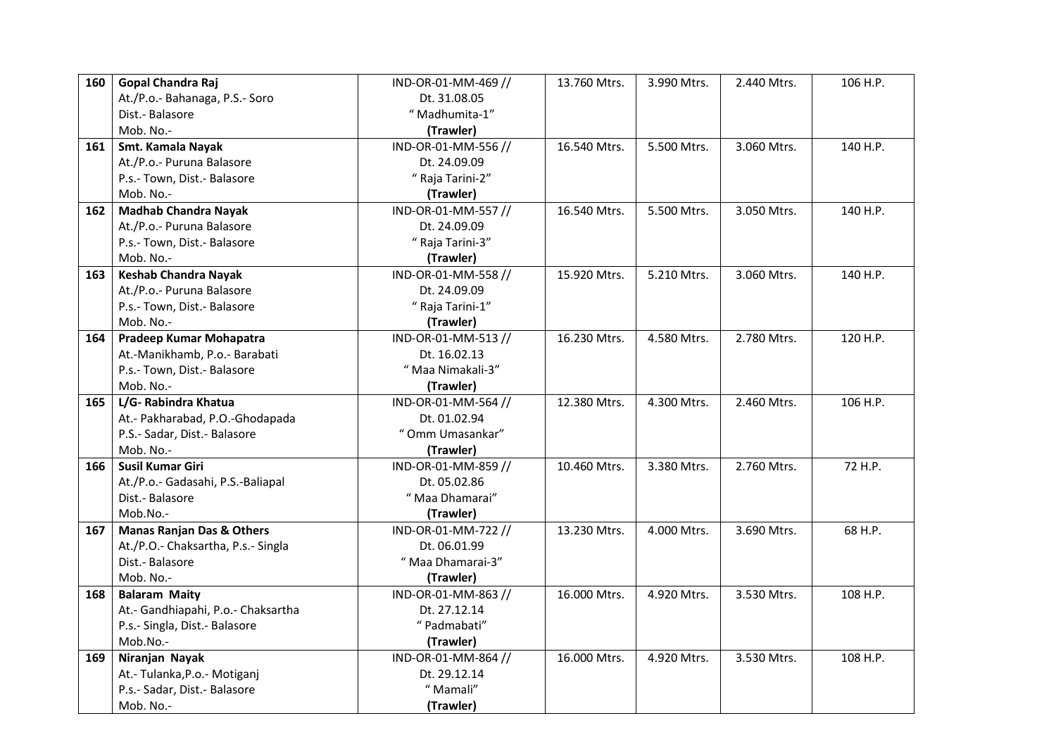| 160 | Gopal Chandra Raj                    | IND-OR-01-MM-469 // | 13.760 Mtrs. | 3.990 Mtrs. | 2.440 Mtrs. | 106 H.P. |
|-----|--------------------------------------|---------------------|--------------|-------------|-------------|----------|
|     | At./P.o.- Bahanaga, P.S.- Soro       | Dt. 31.08.05        |              |             |             |          |
|     | Dist.- Balasore                      | "Madhumita-1"       |              |             |             |          |
|     | Mob. No.-                            | (Trawler)           |              |             |             |          |
| 161 | Smt. Kamala Nayak                    | IND-OR-01-MM-556 // | 16.540 Mtrs. | 5.500 Mtrs. | 3.060 Mtrs. | 140 H.P. |
|     | At./P.o.- Puruna Balasore            | Dt. 24.09.09        |              |             |             |          |
|     | P.s.- Town, Dist.- Balasore          | " Raja Tarini-2"    |              |             |             |          |
|     | Mob. No.-                            | (Trawler)           |              |             |             |          |
| 162 | <b>Madhab Chandra Nayak</b>          | IND-OR-01-MM-557 // | 16.540 Mtrs. | 5.500 Mtrs. | 3.050 Mtrs. | 140 H.P. |
|     | At./P.o.- Puruna Balasore            | Dt. 24.09.09        |              |             |             |          |
|     | P.s.- Town, Dist.- Balasore          | " Raja Tarini-3"    |              |             |             |          |
|     | Mob. No.-                            | (Trawler)           |              |             |             |          |
| 163 | <b>Keshab Chandra Nayak</b>          | IND-OR-01-MM-558 // | 15.920 Mtrs. | 5.210 Mtrs. | 3.060 Mtrs. | 140 H.P. |
|     | At./P.o.- Puruna Balasore            | Dt. 24.09.09        |              |             |             |          |
|     | P.s.- Town, Dist.- Balasore          | " Raja Tarini-1"    |              |             |             |          |
|     | Mob. No.-                            | (Trawler)           |              |             |             |          |
| 164 | Pradeep Kumar Mohapatra              | IND-OR-01-MM-513 // | 16.230 Mtrs. | 4.580 Mtrs. | 2.780 Mtrs. | 120 H.P. |
|     | At.-Manikhamb, P.o.- Barabati        | Dt. 16.02.13        |              |             |             |          |
|     | P.s.- Town, Dist.- Balasore          | "Maa Nimakali-3"    |              |             |             |          |
|     | Mob. No.-                            | (Trawler)           |              |             |             |          |
| 165 | L/G-Rabindra Khatua                  | IND-OR-01-MM-564 // | 12.380 Mtrs. | 4.300 Mtrs. | 2.460 Mtrs. | 106 H.P. |
|     | At.- Pakharabad, P.O.-Ghodapada      | Dt. 01.02.94        |              |             |             |          |
|     | P.S.- Sadar, Dist.- Balasore         | "Omm Umasankar"     |              |             |             |          |
|     | Mob. No.-                            | (Trawler)           |              |             |             |          |
| 166 | <b>Susil Kumar Giri</b>              | IND-OR-01-MM-859 // | 10.460 Mtrs. | 3.380 Mtrs. | 2.760 Mtrs. | 72 H.P.  |
|     | At./P.o.- Gadasahi, P.S.-Baliapal    | Dt. 05.02.86        |              |             |             |          |
|     | Dist.- Balasore                      | "Maa Dhamarai"      |              |             |             |          |
|     | Mob.No.-                             | (Trawler)           |              |             |             |          |
| 167 | <b>Manas Ranjan Das &amp; Others</b> | IND-OR-01-MM-722 // | 13.230 Mtrs. | 4.000 Mtrs. | 3.690 Mtrs. | 68 H.P.  |
|     | At./P.O.- Chaksartha, P.s.- Singla   | Dt. 06.01.99        |              |             |             |          |
|     | Dist.- Balasore                      | "Maa Dhamarai-3"    |              |             |             |          |
|     | Mob. No.-                            | (Trawler)           |              |             |             |          |
| 168 | <b>Balaram Maity</b>                 | IND-OR-01-MM-863 // | 16.000 Mtrs. | 4.920 Mtrs. | 3.530 Mtrs. | 108 H.P. |
|     | At.- Gandhiapahi, P.o.- Chaksartha   | Dt. 27.12.14        |              |             |             |          |
|     | P.s.- Singla, Dist.- Balasore        | "Padmabati"         |              |             |             |          |
|     | Mob.No.-                             | (Trawler)           |              |             |             |          |
| 169 | Niranjan Nayak                       | IND-OR-01-MM-864 // | 16.000 Mtrs. | 4.920 Mtrs. | 3.530 Mtrs. | 108 H.P. |
|     | At.- Tulanka, P.o. - Motiganj        | Dt. 29.12.14        |              |             |             |          |
|     | P.s.- Sadar, Dist.- Balasore         | "Mamali"            |              |             |             |          |
|     | Mob. No.-                            | (Trawler)           |              |             |             |          |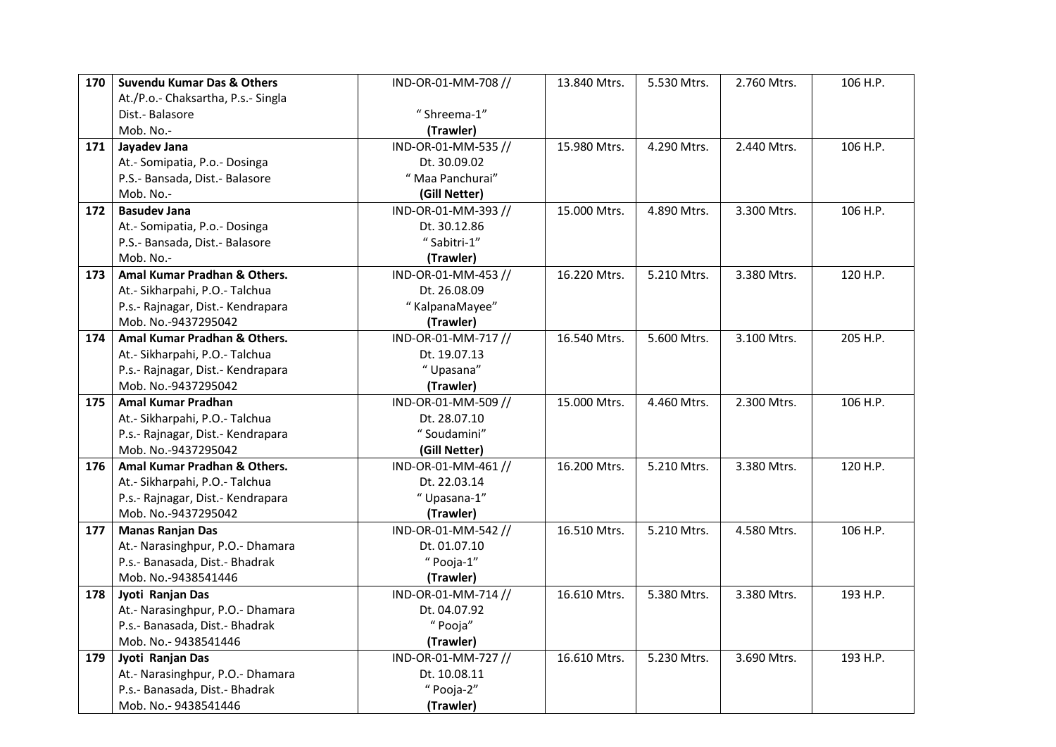| 170 | <b>Suvendu Kumar Das &amp; Others</b> | IND-OR-01-MM-708 // | 13.840 Mtrs. | 5.530 Mtrs. | 2.760 Mtrs. | 106 H.P. |
|-----|---------------------------------------|---------------------|--------------|-------------|-------------|----------|
|     | At./P.o.- Chaksartha, P.s.- Singla    |                     |              |             |             |          |
|     | Dist.- Balasore                       | "Shreema-1"         |              |             |             |          |
|     | Mob. No.-                             | (Trawler)           |              |             |             |          |
| 171 | Jayadev Jana                          | IND-OR-01-MM-535 // | 15.980 Mtrs. | 4.290 Mtrs. | 2.440 Mtrs. | 106 H.P. |
|     | At.- Somipatia, P.o.- Dosinga         | Dt. 30.09.02        |              |             |             |          |
|     | P.S.- Bansada, Dist.- Balasore        | " Maa Panchurai"    |              |             |             |          |
|     | Mob. No.-                             | (Gill Netter)       |              |             |             |          |
| 172 | <b>Basudev Jana</b>                   | IND-OR-01-MM-393 // | 15.000 Mtrs. | 4.890 Mtrs. | 3.300 Mtrs. | 106 H.P. |
|     | At.- Somipatia, P.o.- Dosinga         | Dt. 30.12.86        |              |             |             |          |
|     | P.S.- Bansada, Dist.- Balasore        | "Sabitri-1"         |              |             |             |          |
|     | Mob. No.-                             | (Trawler)           |              |             |             |          |
| 173 | Amal Kumar Pradhan & Others.          | IND-OR-01-MM-453 // | 16.220 Mtrs. | 5.210 Mtrs. | 3.380 Mtrs. | 120 H.P. |
|     | At.- Sikharpahi, P.O.- Talchua        | Dt. 26.08.09        |              |             |             |          |
|     | P.s.- Rajnagar, Dist.- Kendrapara     | "KalpanaMayee"      |              |             |             |          |
|     | Mob. No.-9437295042                   | (Trawler)           |              |             |             |          |
| 174 | Amal Kumar Pradhan & Others.          | IND-OR-01-MM-717 // | 16.540 Mtrs. | 5.600 Mtrs. | 3.100 Mtrs. | 205 H.P. |
|     | At.- Sikharpahi, P.O.- Talchua        | Dt. 19.07.13        |              |             |             |          |
|     | P.s.- Rajnagar, Dist.- Kendrapara     | "Upasana"           |              |             |             |          |
|     | Mob. No.-9437295042                   | (Trawler)           |              |             |             |          |
| 175 | Amal Kumar Pradhan                    | IND-OR-01-MM-509 // | 15.000 Mtrs. | 4.460 Mtrs. | 2.300 Mtrs. | 106 H.P. |
|     | At.- Sikharpahi, P.O.- Talchua        | Dt. 28.07.10        |              |             |             |          |
|     | P.s.- Rajnagar, Dist.- Kendrapara     | "Soudamini"         |              |             |             |          |
|     | Mob. No.-9437295042                   | (Gill Netter)       |              |             |             |          |
| 176 | Amal Kumar Pradhan & Others.          | IND-OR-01-MM-461 // | 16.200 Mtrs. | 5.210 Mtrs. | 3.380 Mtrs. | 120 H.P. |
|     | At.- Sikharpahi, P.O.- Talchua        | Dt. 22.03.14        |              |             |             |          |
|     | P.s.- Rajnagar, Dist.- Kendrapara     | "Upasana-1"         |              |             |             |          |
|     | Mob. No.-9437295042                   | (Trawler)           |              |             |             |          |
| 177 | <b>Manas Ranjan Das</b>               | IND-OR-01-MM-542 // | 16.510 Mtrs. | 5.210 Mtrs. | 4.580 Mtrs. | 106 H.P. |
|     | At.- Narasinghpur, P.O.- Dhamara      | Dt. 01.07.10        |              |             |             |          |
|     | P.s.- Banasada, Dist.- Bhadrak        | "Pooja-1"           |              |             |             |          |
|     | Mob. No.-9438541446                   | (Trawler)           |              |             |             |          |
| 178 | Jyoti Ranjan Das                      | IND-OR-01-MM-714 // | 16.610 Mtrs. | 5.380 Mtrs. | 3.380 Mtrs. | 193 H.P. |
|     | At.- Narasinghpur, P.O.- Dhamara      | Dt. 04.07.92        |              |             |             |          |
|     | P.s.- Banasada, Dist.- Bhadrak        | " Pooja"            |              |             |             |          |
|     | Mob. No.- 9438541446                  | (Trawler)           |              |             |             |          |
| 179 | Jyoti Ranjan Das                      | IND-OR-01-MM-727 // | 16.610 Mtrs. | 5.230 Mtrs. | 3.690 Mtrs. | 193 H.P. |
|     | At.- Narasinghpur, P.O.- Dhamara      | Dt. 10.08.11        |              |             |             |          |
|     | P.s.- Banasada, Dist.- Bhadrak        | "Pooja-2"           |              |             |             |          |
|     | Mob. No.- 9438541446                  | (Trawler)           |              |             |             |          |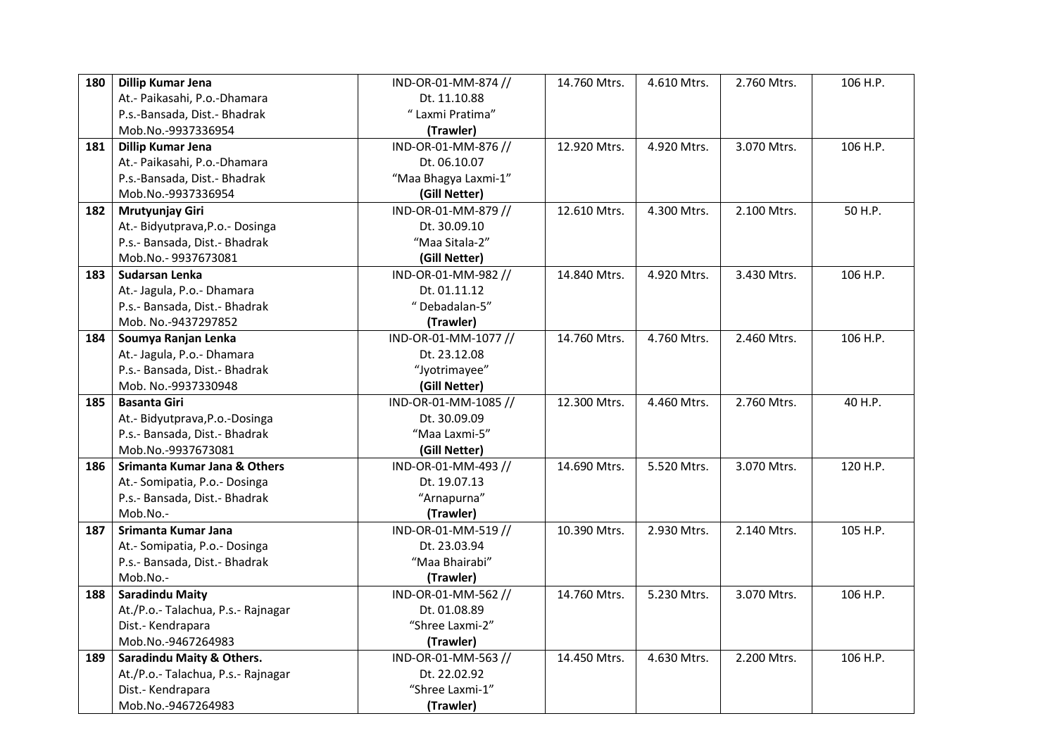| 180 | Dillip Kumar Jena                    | IND-OR-01-MM-874 //  | 14.760 Mtrs. | 4.610 Mtrs. | 2.760 Mtrs. | 106 H.P. |
|-----|--------------------------------------|----------------------|--------------|-------------|-------------|----------|
|     | At.- Paikasahi, P.o.-Dhamara         | Dt. 11.10.88         |              |             |             |          |
|     | P.s.-Bansada, Dist.- Bhadrak         | " Laxmi Pratima"     |              |             |             |          |
|     | Mob.No.-9937336954                   | (Trawler)            |              |             |             |          |
| 181 | Dillip Kumar Jena                    | IND-OR-01-MM-876 //  | 12.920 Mtrs. | 4.920 Mtrs. | 3.070 Mtrs. | 106 H.P. |
|     | At.- Paikasahi, P.o.-Dhamara         | Dt. 06.10.07         |              |             |             |          |
|     | P.s.-Bansada, Dist.- Bhadrak         | "Maa Bhagya Laxmi-1" |              |             |             |          |
|     | Mob.No.-9937336954                   | (Gill Netter)        |              |             |             |          |
| 182 | Mrutyunjay Giri                      | IND-OR-01-MM-879 //  | 12.610 Mtrs. | 4.300 Mtrs. | 2.100 Mtrs. | 50 H.P.  |
|     | At.- Bidyutprava, P.o. - Dosinga     | Dt. 30.09.10         |              |             |             |          |
|     | P.s.- Bansada, Dist.- Bhadrak        | "Maa Sitala-2"       |              |             |             |          |
|     | Mob.No.-9937673081                   | (Gill Netter)        |              |             |             |          |
| 183 | Sudarsan Lenka                       | IND-OR-01-MM-982 //  | 14.840 Mtrs. | 4.920 Mtrs. | 3.430 Mtrs. | 106 H.P. |
|     | At.- Jagula, P.o.- Dhamara           | Dt. 01.11.12         |              |             |             |          |
|     | P.s.- Bansada, Dist.- Bhadrak        | "Debadalan-5"        |              |             |             |          |
|     | Mob. No.-9437297852                  | (Trawler)            |              |             |             |          |
| 184 | Soumya Ranjan Lenka                  | IND-OR-01-MM-1077 // | 14.760 Mtrs. | 4.760 Mtrs. | 2.460 Mtrs. | 106 H.P. |
|     | At.- Jagula, P.o.- Dhamara           | Dt. 23.12.08         |              |             |             |          |
|     | P.s.- Bansada, Dist.- Bhadrak        | "Jyotrimayee"        |              |             |             |          |
|     | Mob. No.-9937330948                  | (Gill Netter)        |              |             |             |          |
|     |                                      |                      |              |             |             |          |
| 185 | <b>Basanta Giri</b>                  | IND-OR-01-MM-1085 // | 12.300 Mtrs. | 4.460 Mtrs. | 2.760 Mtrs. | 40 H.P.  |
|     | At.- Bidyutprava, P.o.-Dosinga       | Dt. 30.09.09         |              |             |             |          |
|     | P.s.- Bansada, Dist.- Bhadrak        | "Maa Laxmi-5"        |              |             |             |          |
|     | Mob.No.-9937673081                   | (Gill Netter)        |              |             |             |          |
| 186 | Srimanta Kumar Jana & Others         | IND-OR-01-MM-493 //  | 14.690 Mtrs. | 5.520 Mtrs. | 3.070 Mtrs. | 120 H.P. |
|     | At.- Somipatia, P.o.- Dosinga        | Dt. 19.07.13         |              |             |             |          |
|     | P.s.- Bansada, Dist.- Bhadrak        | "Arnapurna"          |              |             |             |          |
|     | Mob.No.-                             | (Trawler)            |              |             |             |          |
| 187 | Srimanta Kumar Jana                  | IND-OR-01-MM-519 //  | 10.390 Mtrs. | 2.930 Mtrs. | 2.140 Mtrs. | 105 H.P. |
|     | At.- Somipatia, P.o.- Dosinga        | Dt. 23.03.94         |              |             |             |          |
|     | P.s.- Bansada, Dist.- Bhadrak        | "Maa Bhairabi"       |              |             |             |          |
|     | Mob.No .-                            | (Trawler)            |              |             |             |          |
| 188 | <b>Saradindu Maity</b>               | IND-OR-01-MM-562 //  | 14.760 Mtrs. | 5.230 Mtrs. | 3.070 Mtrs. | 106 H.P. |
|     | At./P.o.- Talachua, P.s.- Rajnagar   | Dt. 01.08.89         |              |             |             |          |
|     | Dist.- Kendrapara                    | "Shree Laxmi-2"      |              |             |             |          |
|     | Mob.No.-9467264983                   | (Trawler)            |              |             |             |          |
| 189 | <b>Saradindu Maity &amp; Others.</b> | IND-OR-01-MM-563 //  | 14.450 Mtrs. | 4.630 Mtrs. | 2.200 Mtrs. | 106 H.P. |
|     | At./P.o.- Talachua, P.s.- Rajnagar   | Dt. 22.02.92         |              |             |             |          |
|     | Dist.- Kendrapara                    | "Shree Laxmi-1"      |              |             |             |          |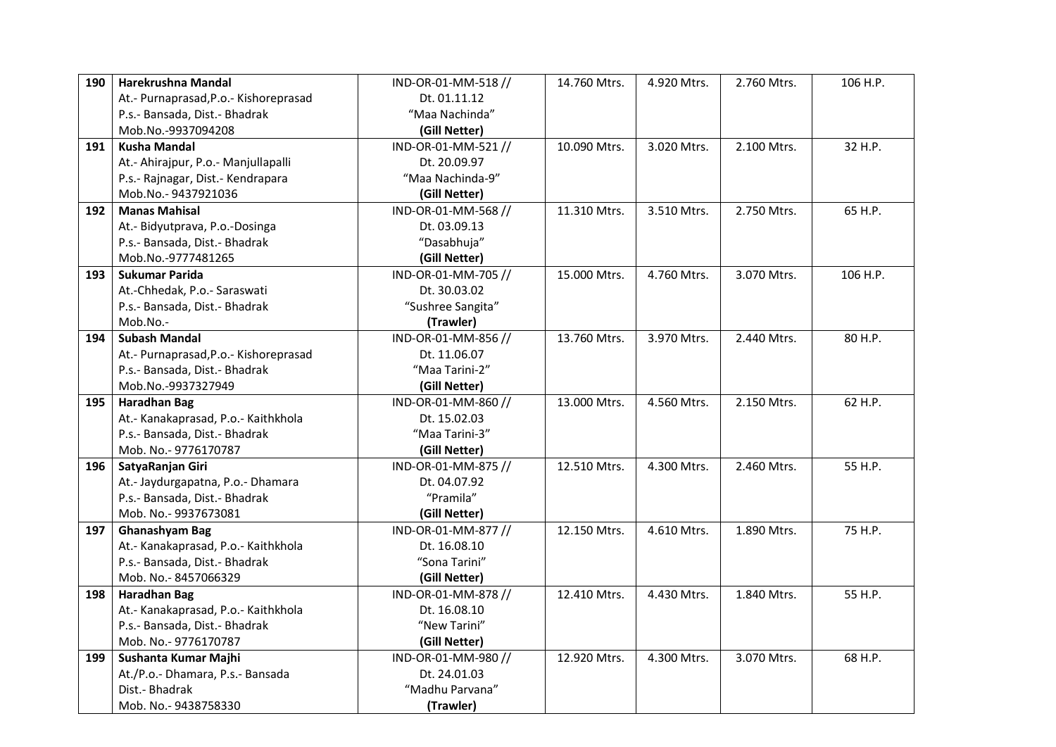| 190 | Harekrushna Mandal                    | IND-OR-01-MM-518 // | 14.760 Mtrs. | 4.920 Mtrs. | 2.760 Mtrs. | 106 H.P. |
|-----|---------------------------------------|---------------------|--------------|-------------|-------------|----------|
|     | At.- Purnaprasad, P.o.- Kishoreprasad | Dt. 01.11.12        |              |             |             |          |
|     | P.s.- Bansada, Dist.- Bhadrak         | "Maa Nachinda"      |              |             |             |          |
|     | Mob.No.-9937094208                    | (Gill Netter)       |              |             |             |          |
| 191 | <b>Kusha Mandal</b>                   | IND-OR-01-MM-521 // | 10.090 Mtrs. | 3.020 Mtrs. | 2.100 Mtrs. | 32 H.P.  |
|     | At.- Ahirajpur, P.o.- Manjullapalli   | Dt. 20.09.97        |              |             |             |          |
|     | P.s.- Rajnagar, Dist.- Kendrapara     | "Maa Nachinda-9"    |              |             |             |          |
|     | Mob.No.-9437921036                    | (Gill Netter)       |              |             |             |          |
| 192 | <b>Manas Mahisal</b>                  | IND-OR-01-MM-568 // | 11.310 Mtrs. | 3.510 Mtrs. | 2.750 Mtrs. | 65 H.P.  |
|     | At.- Bidyutprava, P.o.-Dosinga        | Dt. 03.09.13        |              |             |             |          |
|     | P.s.- Bansada, Dist.- Bhadrak         | "Dasabhuja"         |              |             |             |          |
|     | Mob.No.-9777481265                    | (Gill Netter)       |              |             |             |          |
| 193 | <b>Sukumar Parida</b>                 | IND-OR-01-MM-705 // | 15.000 Mtrs. | 4.760 Mtrs. | 3.070 Mtrs. | 106 H.P. |
|     | At.-Chhedak, P.o.- Saraswati          | Dt. 30.03.02        |              |             |             |          |
|     | P.s.- Bansada, Dist.- Bhadrak         | "Sushree Sangita"   |              |             |             |          |
|     | Mob.No.-                              | (Trawler)           |              |             |             |          |
| 194 | <b>Subash Mandal</b>                  | IND-OR-01-MM-856 // | 13.760 Mtrs. | 3.970 Mtrs. | 2.440 Mtrs. | 80 H.P.  |
|     | At.- Purnaprasad, P.o.- Kishoreprasad | Dt. 11.06.07        |              |             |             |          |
|     | P.s.- Bansada, Dist.- Bhadrak         | "Maa Tarini-2"      |              |             |             |          |
|     | Mob.No.-9937327949                    | (Gill Netter)       |              |             |             |          |
| 195 | <b>Haradhan Bag</b>                   | IND-OR-01-MM-860 // | 13.000 Mtrs. | 4.560 Mtrs. | 2.150 Mtrs. | 62 H.P.  |
|     | At.- Kanakaprasad, P.o.- Kaithkhola   | Dt. 15.02.03        |              |             |             |          |
|     | P.s.- Bansada, Dist.- Bhadrak         | "Maa Tarini-3"      |              |             |             |          |
|     | Mob. No.- 9776170787                  | (Gill Netter)       |              |             |             |          |
| 196 | SatyaRanjan Giri                      | IND-OR-01-MM-875 // | 12.510 Mtrs. | 4.300 Mtrs. | 2.460 Mtrs. | 55 H.P.  |
|     | At.- Jaydurgapatna, P.o.- Dhamara     | Dt. 04.07.92        |              |             |             |          |
|     | P.s.- Bansada, Dist.- Bhadrak         | "Pramila"           |              |             |             |          |
|     | Mob. No.-9937673081                   | (Gill Netter)       |              |             |             |          |
| 197 | <b>Ghanashyam Bag</b>                 | IND-OR-01-MM-877 // | 12.150 Mtrs. | 4.610 Mtrs. | 1.890 Mtrs. | 75 H.P.  |
|     | At.- Kanakaprasad, P.o.- Kaithkhola   | Dt. 16.08.10        |              |             |             |          |
|     | P.s.- Bansada, Dist.- Bhadrak         | "Sona Tarini"       |              |             |             |          |
|     | Mob. No.-8457066329                   | (Gill Netter)       |              |             |             |          |
| 198 | <b>Haradhan Bag</b>                   | IND-OR-01-MM-878 // | 12.410 Mtrs. | 4.430 Mtrs. | 1.840 Mtrs. | 55 H.P.  |
|     | At.- Kanakaprasad, P.o.- Kaithkhola   | Dt. 16.08.10        |              |             |             |          |
|     | P.s.- Bansada, Dist.- Bhadrak         | "New Tarini"        |              |             |             |          |
|     | Mob. No.- 9776170787                  | (Gill Netter)       |              |             |             |          |
| 199 | Sushanta Kumar Majhi                  | IND-OR-01-MM-980 // | 12.920 Mtrs. | 4.300 Mtrs. | 3.070 Mtrs. | 68 H.P.  |
|     | At./P.o.- Dhamara, P.s.- Bansada      | Dt. 24.01.03        |              |             |             |          |
|     | Dist.- Bhadrak                        | "Madhu Parvana"     |              |             |             |          |
|     | Mob. No.-9438758330                   | (Trawler)           |              |             |             |          |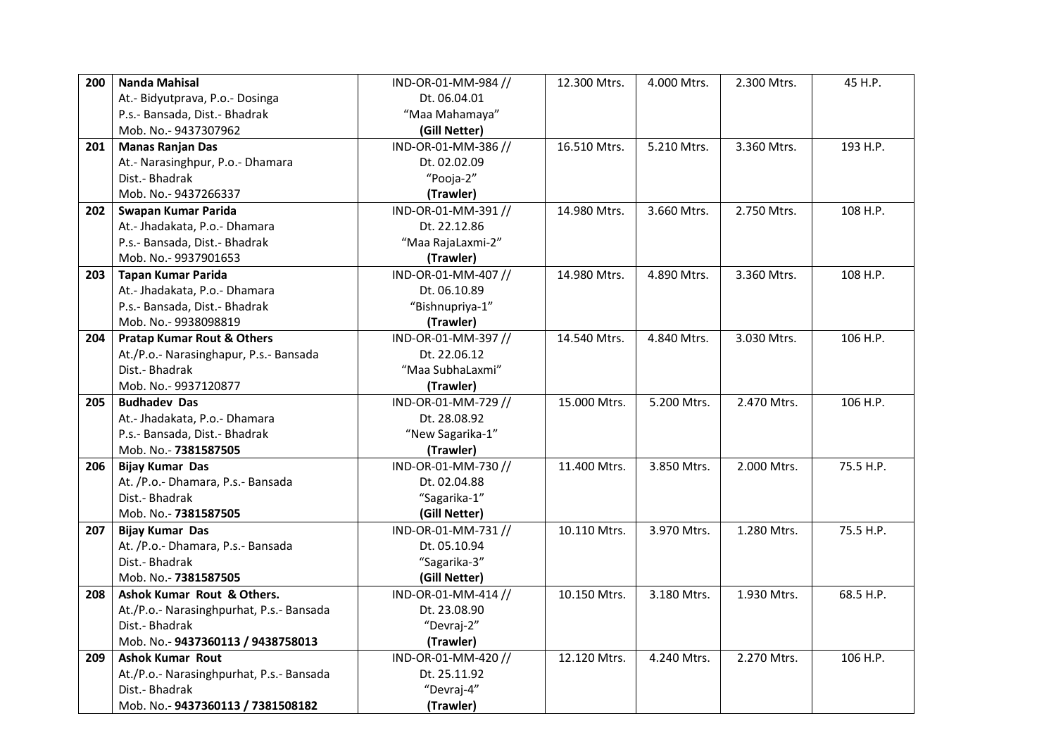| 200 | <b>Nanda Mahisal</b>                     | IND-OR-01-MM-984 // | 12.300 Mtrs. | 4.000 Mtrs. | 2.300 Mtrs. | 45 H.P.   |
|-----|------------------------------------------|---------------------|--------------|-------------|-------------|-----------|
|     | At.- Bidyutprava, P.o.- Dosinga          | Dt. 06.04.01        |              |             |             |           |
|     | P.s.- Bansada, Dist.- Bhadrak            | "Maa Mahamaya"      |              |             |             |           |
|     | Mob. No.- 9437307962                     | (Gill Netter)       |              |             |             |           |
| 201 | <b>Manas Ranjan Das</b>                  | IND-OR-01-MM-386 // | 16.510 Mtrs. | 5.210 Mtrs. | 3.360 Mtrs. | 193 H.P.  |
|     | At.- Narasinghpur, P.o.- Dhamara         | Dt. 02.02.09        |              |             |             |           |
|     | Dist.- Bhadrak                           | "Pooja-2"           |              |             |             |           |
|     | Mob. No.- 9437266337                     | (Trawler)           |              |             |             |           |
| 202 | Swapan Kumar Parida                      | IND-OR-01-MM-391 // | 14.980 Mtrs. | 3.660 Mtrs. | 2.750 Mtrs. | 108 H.P.  |
|     | At.- Jhadakata, P.o.- Dhamara            | Dt. 22.12.86        |              |             |             |           |
|     | P.s.- Bansada, Dist.- Bhadrak            | "Maa RajaLaxmi-2"   |              |             |             |           |
|     | Mob. No.- 9937901653                     | (Trawler)           |              |             |             |           |
| 203 | <b>Tapan Kumar Parida</b>                | IND-OR-01-MM-407 // | 14.980 Mtrs. | 4.890 Mtrs. | 3.360 Mtrs. | 108 H.P.  |
|     | At.- Jhadakata, P.o.- Dhamara            | Dt. 06.10.89        |              |             |             |           |
|     | P.s.- Bansada, Dist.- Bhadrak            | "Bishnupriya-1"     |              |             |             |           |
|     | Mob. No.- 9938098819                     | (Trawler)           |              |             |             |           |
| 204 | <b>Pratap Kumar Rout &amp; Others</b>    | IND-OR-01-MM-397 // | 14.540 Mtrs. | 4.840 Mtrs. | 3.030 Mtrs. | 106 H.P.  |
|     | At./P.o.- Narasinghapur, P.s.- Bansada   | Dt. 22.06.12        |              |             |             |           |
|     | Dist.- Bhadrak                           | "Maa SubhaLaxmi"    |              |             |             |           |
|     | Mob. No.- 9937120877                     | (Trawler)           |              |             |             |           |
| 205 | <b>Budhadev Das</b>                      | IND-OR-01-MM-729 // | 15.000 Mtrs. | 5.200 Mtrs. | 2.470 Mtrs. | 106 H.P.  |
|     | At.- Jhadakata, P.o.- Dhamara            | Dt. 28.08.92        |              |             |             |           |
|     | P.s.- Bansada, Dist.- Bhadrak            | "New Sagarika-1"    |              |             |             |           |
|     | Mob. No.- 7381587505                     | (Trawler)           |              |             |             |           |
| 206 | <b>Bijay Kumar Das</b>                   | IND-OR-01-MM-730 // | 11.400 Mtrs. | 3.850 Mtrs. | 2.000 Mtrs. | 75.5 H.P. |
|     | At. /P.o.- Dhamara, P.s.- Bansada        | Dt. 02.04.88        |              |             |             |           |
|     | Dist.- Bhadrak                           | "Sagarika-1"        |              |             |             |           |
|     | Mob. No.- 7381587505                     | (Gill Netter)       |              |             |             |           |
| 207 | <b>Bijay Kumar Das</b>                   | IND-OR-01-MM-731 // | 10.110 Mtrs. | 3.970 Mtrs. | 1.280 Mtrs. | 75.5 H.P. |
|     | At. /P.o.- Dhamara, P.s.- Bansada        | Dt. 05.10.94        |              |             |             |           |
|     | Dist.- Bhadrak                           | "Sagarika-3"        |              |             |             |           |
|     | Mob. No.- 7381587505                     | (Gill Netter)       |              |             |             |           |
| 208 | Ashok Kumar Rout & Others.               | IND-OR-01-MM-414 // | 10.150 Mtrs. | 3.180 Mtrs. | 1.930 Mtrs. | 68.5 H.P. |
|     | At./P.o.- Narasinghpurhat, P.s.- Bansada | Dt. 23.08.90        |              |             |             |           |
|     | Dist.- Bhadrak                           | "Devraj-2"          |              |             |             |           |
|     | Mob. No.- 9437360113 / 9438758013        | (Trawler)           |              |             |             |           |
| 209 | <b>Ashok Kumar Rout</b>                  | IND-OR-01-MM-420 // | 12.120 Mtrs. | 4.240 Mtrs. | 2.270 Mtrs. | 106 H.P.  |
|     | At./P.o.- Narasinghpurhat, P.s.- Bansada | Dt. 25.11.92        |              |             |             |           |
|     | Dist.- Bhadrak                           | "Devraj-4"          |              |             |             |           |
|     | Mob. No.- 9437360113 / 7381508182        | (Trawler)           |              |             |             |           |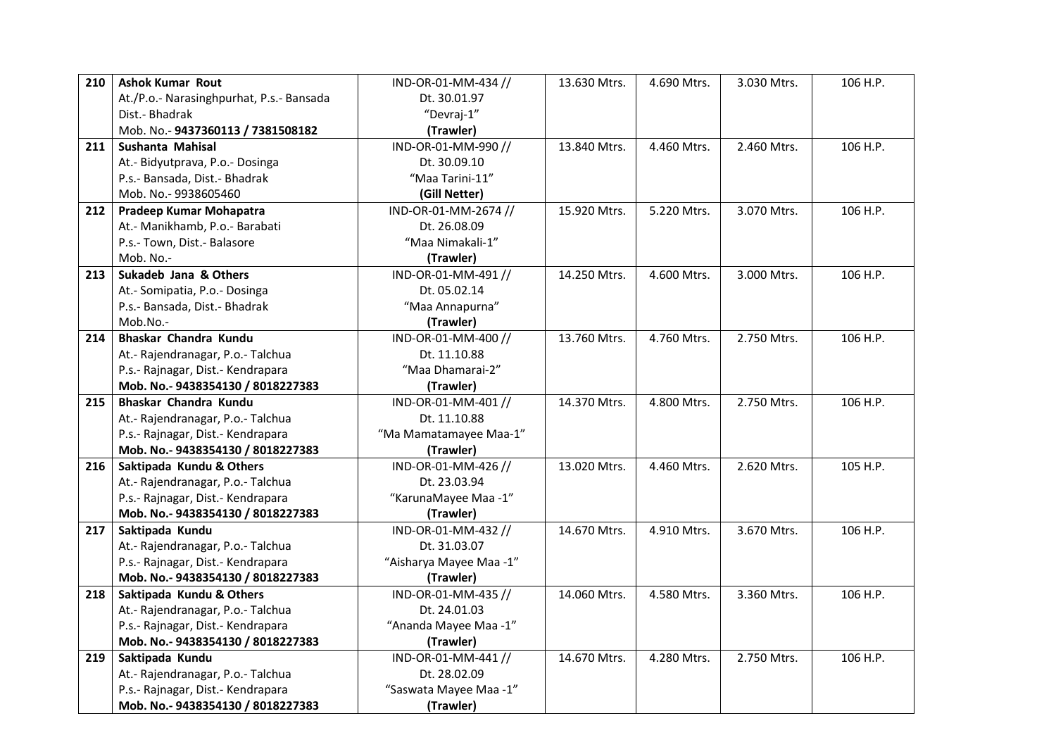| 210 | <b>Ashok Kumar Rout</b>                  | IND-OR-01-MM-434 //     | 13.630 Mtrs. | 4.690 Mtrs. | 3.030 Mtrs. | 106 H.P. |
|-----|------------------------------------------|-------------------------|--------------|-------------|-------------|----------|
|     | At./P.o.- Narasinghpurhat, P.s.- Bansada | Dt. 30.01.97            |              |             |             |          |
|     | Dist.- Bhadrak                           | "Devraj-1"              |              |             |             |          |
|     | Mob. No.- 9437360113 / 7381508182        | (Trawler)               |              |             |             |          |
| 211 | Sushanta Mahisal                         | IND-OR-01-MM-990 //     | 13.840 Mtrs. | 4.460 Mtrs. | 2.460 Mtrs. | 106 H.P. |
|     | At.- Bidyutprava, P.o.- Dosinga          | Dt. 30.09.10            |              |             |             |          |
|     | P.s.- Bansada, Dist.- Bhadrak            | "Maa Tarini-11"         |              |             |             |          |
|     | Mob. No.- 9938605460                     | (Gill Netter)           |              |             |             |          |
| 212 | Pradeep Kumar Mohapatra                  | IND-OR-01-MM-2674 //    | 15.920 Mtrs. | 5.220 Mtrs. | 3.070 Mtrs. | 106 H.P. |
|     | At.- Manikhamb, P.o.- Barabati           | Dt. 26.08.09            |              |             |             |          |
|     | P.s.- Town, Dist.- Balasore              | "Maa Nimakali-1"        |              |             |             |          |
|     | Mob. No.-                                | (Trawler)               |              |             |             |          |
| 213 | Sukadeb Jana & Others                    | IND-OR-01-MM-491 //     | 14.250 Mtrs. | 4.600 Mtrs. | 3.000 Mtrs. | 106 H.P. |
|     | At.- Somipatia, P.o.- Dosinga            | Dt. 05.02.14            |              |             |             |          |
|     | P.s.- Bansada, Dist.- Bhadrak            | "Maa Annapurna"         |              |             |             |          |
|     | Mob.No.-                                 | (Trawler)               |              |             |             |          |
| 214 | Bhaskar Chandra Kundu                    | IND-OR-01-MM-400 //     | 13.760 Mtrs. | 4.760 Mtrs. | 2.750 Mtrs. | 106 H.P. |
|     | At.- Rajendranagar, P.o.- Talchua        | Dt. 11.10.88            |              |             |             |          |
|     | P.s.- Rajnagar, Dist.- Kendrapara        | "Maa Dhamarai-2"        |              |             |             |          |
|     | Mob. No.- 9438354130 / 8018227383        | (Trawler)               |              |             |             |          |
| 215 | Bhaskar Chandra Kundu                    | IND-OR-01-MM-401 //     | 14.370 Mtrs. | 4.800 Mtrs. | 2.750 Mtrs. | 106 H.P. |
|     | At.- Rajendranagar, P.o.- Talchua        | Dt. 11.10.88            |              |             |             |          |
|     | P.s.- Rajnagar, Dist.- Kendrapara        | "Ma Mamatamayee Maa-1"  |              |             |             |          |
|     | Mob. No.- 9438354130 / 8018227383        | (Trawler)               |              |             |             |          |
| 216 | Saktipada Kundu & Others                 | IND-OR-01-MM-426 //     | 13.020 Mtrs. | 4.460 Mtrs. | 2.620 Mtrs. | 105 H.P. |
|     | At.- Rajendranagar, P.o.- Talchua        | Dt. 23.03.94            |              |             |             |          |
|     | P.s.- Rajnagar, Dist.- Kendrapara        | "KarunaMayee Maa -1"    |              |             |             |          |
|     | Mob. No.- 9438354130 / 8018227383        | (Trawler)               |              |             |             |          |
| 217 | Saktipada Kundu                          | IND-OR-01-MM-432 //     | 14.670 Mtrs. | 4.910 Mtrs. | 3.670 Mtrs. | 106 H.P. |
|     | At.- Rajendranagar, P.o.- Talchua        | Dt. 31.03.07            |              |             |             |          |
|     | P.s.- Rajnagar, Dist.- Kendrapara        | "Aisharya Mayee Maa -1" |              |             |             |          |
|     | Mob. No.- 9438354130 / 8018227383        | (Trawler)               |              |             |             |          |
| 218 | Saktipada Kundu & Others                 | IND-OR-01-MM-435 //     | 14.060 Mtrs. | 4.580 Mtrs. | 3.360 Mtrs. | 106 H.P. |
|     | At.- Rajendranagar, P.o.- Talchua        | Dt. 24.01.03            |              |             |             |          |
|     | P.s.- Rajnagar, Dist.- Kendrapara        | "Ananda Mayee Maa -1"   |              |             |             |          |
|     | Mob. No.- 9438354130 / 8018227383        | (Trawler)               |              |             |             |          |
| 219 | Saktipada Kundu                          | IND-OR-01-MM-441 //     | 14.670 Mtrs. | 4.280 Mtrs. | 2.750 Mtrs. | 106 H.P. |
|     | At.- Rajendranagar, P.o.- Talchua        | Dt. 28.02.09            |              |             |             |          |
|     | P.s.- Rajnagar, Dist.- Kendrapara        | "Saswata Mayee Maa -1"  |              |             |             |          |
|     | Mob. No.- 9438354130 / 8018227383        | (Trawler)               |              |             |             |          |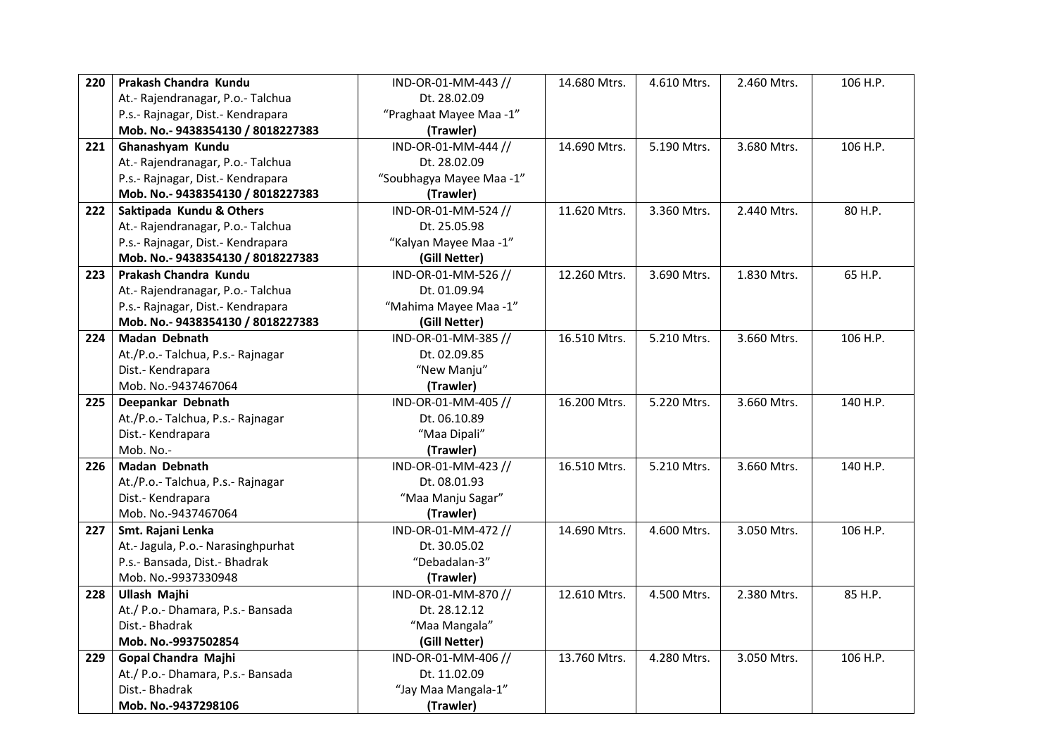| 220 | Prakash Chandra Kundu              | IND-OR-01-MM-443 //      | 14.680 Mtrs. | 4.610 Mtrs. | 2.460 Mtrs. | 106 H.P. |
|-----|------------------------------------|--------------------------|--------------|-------------|-------------|----------|
|     | At.- Rajendranagar, P.o.- Talchua  | Dt. 28.02.09             |              |             |             |          |
|     | P.s.- Rajnagar, Dist.- Kendrapara  | "Praghaat Mayee Maa -1"  |              |             |             |          |
|     | Mob. No.- 9438354130 / 8018227383  | (Trawler)                |              |             |             |          |
| 221 | Ghanashyam Kundu                   | IND-OR-01-MM-444 //      | 14.690 Mtrs. | 5.190 Mtrs. | 3.680 Mtrs. | 106 H.P. |
|     | At.- Rajendranagar, P.o.- Talchua  | Dt. 28.02.09             |              |             |             |          |
|     | P.s.- Rajnagar, Dist.- Kendrapara  | "Soubhagya Mayee Maa -1" |              |             |             |          |
|     | Mob. No.- 9438354130 / 8018227383  | (Trawler)                |              |             |             |          |
| 222 | Saktipada Kundu & Others           | IND-OR-01-MM-524 //      | 11.620 Mtrs. | 3.360 Mtrs. | 2.440 Mtrs. | 80 H.P.  |
|     | At.- Rajendranagar, P.o.- Talchua  | Dt. 25.05.98             |              |             |             |          |
|     | P.s.- Rajnagar, Dist.- Kendrapara  | "Kalyan Mayee Maa -1"    |              |             |             |          |
|     | Mob. No.- 9438354130 / 8018227383  | (Gill Netter)            |              |             |             |          |
| 223 | Prakash Chandra Kundu              | IND-OR-01-MM-526 //      | 12.260 Mtrs. | 3.690 Mtrs. | 1.830 Mtrs. | 65 H.P.  |
|     | At.- Rajendranagar, P.o.- Talchua  | Dt. 01.09.94             |              |             |             |          |
|     | P.s.- Rajnagar, Dist.- Kendrapara  | "Mahima Mayee Maa -1"    |              |             |             |          |
|     | Mob. No.- 9438354130 / 8018227383  | (Gill Netter)            |              |             |             |          |
| 224 | <b>Madan Debnath</b>               | IND-OR-01-MM-385 //      | 16.510 Mtrs. | 5.210 Mtrs. | 3.660 Mtrs. | 106 H.P. |
|     | At./P.o.- Talchua, P.s.- Rajnagar  | Dt. 02.09.85             |              |             |             |          |
|     | Dist.- Kendrapara                  | "New Manju"              |              |             |             |          |
|     | Mob. No.-9437467064                | (Trawler)                |              |             |             |          |
| 225 | Deepankar Debnath                  | IND-OR-01-MM-405 //      | 16.200 Mtrs. | 5.220 Mtrs. | 3.660 Mtrs. | 140 H.P. |
|     | At./P.o.- Talchua, P.s.- Rajnagar  | Dt. 06.10.89             |              |             |             |          |
|     | Dist.- Kendrapara                  | "Maa Dipali"             |              |             |             |          |
|     | Mob. No.-                          | (Trawler)                |              |             |             |          |
| 226 | Madan Debnath                      | IND-OR-01-MM-423 //      | 16.510 Mtrs. | 5.210 Mtrs. | 3.660 Mtrs. | 140 H.P. |
|     | At./P.o.- Talchua, P.s.- Rajnagar  | Dt. 08.01.93             |              |             |             |          |
|     | Dist.- Kendrapara                  | "Maa Manju Sagar"        |              |             |             |          |
|     | Mob. No.-9437467064                | (Trawler)                |              |             |             |          |
| 227 | Smt. Rajani Lenka                  | IND-OR-01-MM-472 //      | 14.690 Mtrs. | 4.600 Mtrs. | 3.050 Mtrs. | 106 H.P. |
|     | At.- Jagula, P.o.- Narasinghpurhat | Dt. 30.05.02             |              |             |             |          |
|     | P.s.- Bansada, Dist.- Bhadrak      | "Debadalan-3"            |              |             |             |          |
|     | Mob. No.-9937330948                | (Trawler)                |              |             |             |          |
| 228 | <b>Ullash Majhi</b>                | IND-OR-01-MM-870 //      | 12.610 Mtrs. | 4.500 Mtrs. | 2.380 Mtrs. | 85 H.P.  |
|     | At./ P.o.- Dhamara, P.s.- Bansada  | Dt. 28.12.12             |              |             |             |          |
|     | Dist.- Bhadrak                     | "Maa Mangala"            |              |             |             |          |
|     | Mob. No.-9937502854                | (Gill Netter)            |              |             |             |          |
| 229 | Gopal Chandra Majhi                | IND-OR-01-MM-406 //      | 13.760 Mtrs. | 4.280 Mtrs. | 3.050 Mtrs. | 106 H.P. |
|     | At./ P.o.- Dhamara, P.s.- Bansada  | Dt. 11.02.09             |              |             |             |          |
|     | Dist.- Bhadrak                     | "Jay Maa Mangala-1"      |              |             |             |          |
|     | Mob. No.-9437298106                | (Trawler)                |              |             |             |          |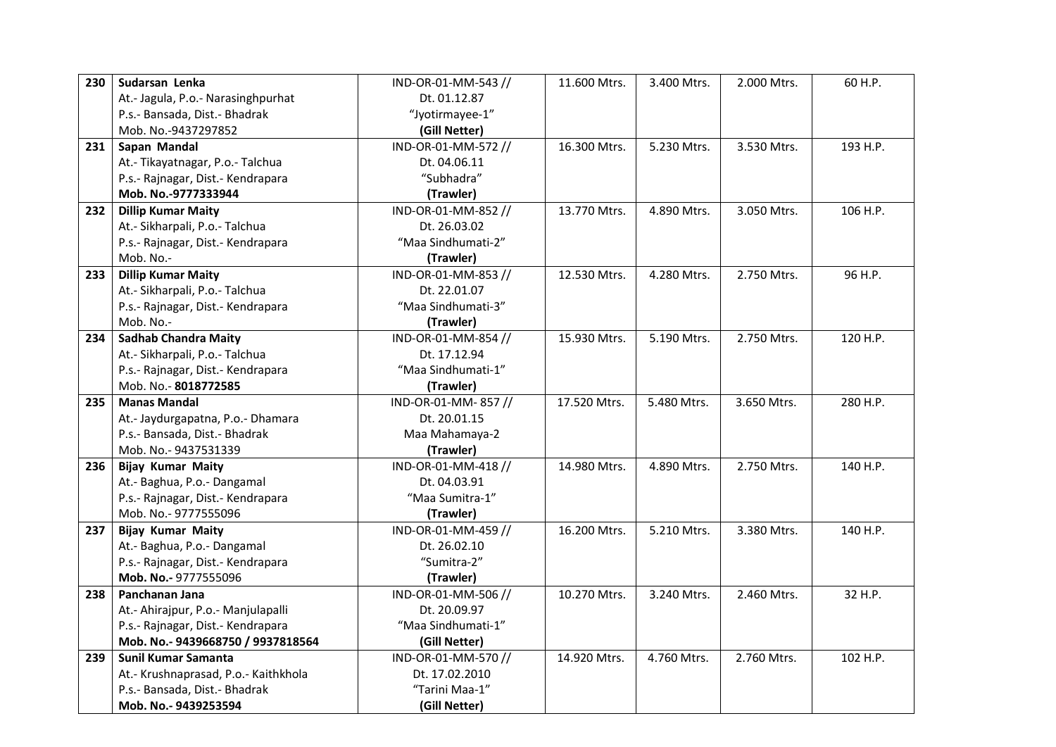| 230 | Sudarsan Lenka                       | IND-OR-01-MM-543 // | 11.600 Mtrs. | 3.400 Mtrs. | 2.000 Mtrs. | 60 H.P.  |
|-----|--------------------------------------|---------------------|--------------|-------------|-------------|----------|
|     | At.- Jagula, P.o.- Narasinghpurhat   | Dt. 01.12.87        |              |             |             |          |
|     | P.s.- Bansada, Dist.- Bhadrak        | "Jyotirmayee-1"     |              |             |             |          |
|     | Mob. No.-9437297852                  | (Gill Netter)       |              |             |             |          |
| 231 | Sapan Mandal                         | IND-OR-01-MM-572 // | 16.300 Mtrs. | 5.230 Mtrs. | 3.530 Mtrs. | 193 H.P. |
|     | At.- Tikayatnagar, P.o.- Talchua     | Dt. 04.06.11        |              |             |             |          |
|     | P.s.- Rajnagar, Dist.- Kendrapara    | "Subhadra"          |              |             |             |          |
|     | Mob. No.-9777333944                  | (Trawler)           |              |             |             |          |
| 232 | <b>Dillip Kumar Maity</b>            | IND-OR-01-MM-852 // | 13.770 Mtrs. | 4.890 Mtrs. | 3.050 Mtrs. | 106 H.P. |
|     | At.- Sikharpali, P.o.- Talchua       | Dt. 26.03.02        |              |             |             |          |
|     | P.s.- Rajnagar, Dist.- Kendrapara    | "Maa Sindhumati-2"  |              |             |             |          |
|     | Mob. No.-                            | (Trawler)           |              |             |             |          |
| 233 | <b>Dillip Kumar Maity</b>            | IND-OR-01-MM-853 // | 12.530 Mtrs. | 4.280 Mtrs. | 2.750 Mtrs. | 96 H.P.  |
|     | At.- Sikharpali, P.o.- Talchua       | Dt. 22.01.07        |              |             |             |          |
|     | P.s.- Rajnagar, Dist.- Kendrapara    | "Maa Sindhumati-3"  |              |             |             |          |
|     | Mob. No.-                            | (Trawler)           |              |             |             |          |
| 234 | <b>Sadhab Chandra Maity</b>          | IND-OR-01-MM-854 // | 15.930 Mtrs. | 5.190 Mtrs. | 2.750 Mtrs. | 120 H.P. |
|     | At.- Sikharpali, P.o.- Talchua       | Dt. 17.12.94        |              |             |             |          |
|     | P.s.- Rajnagar, Dist.- Kendrapara    | "Maa Sindhumati-1"  |              |             |             |          |
|     | Mob. No.-8018772585                  | (Trawler)           |              |             |             |          |
| 235 | <b>Manas Mandal</b>                  | IND-OR-01-MM-857//  | 17.520 Mtrs. | 5.480 Mtrs. | 3.650 Mtrs. | 280 H.P. |
|     | At.- Jaydurgapatna, P.o.- Dhamara    | Dt. 20.01.15        |              |             |             |          |
|     | P.s.- Bansada, Dist.- Bhadrak        | Maa Mahamaya-2      |              |             |             |          |
|     |                                      |                     |              |             |             |          |
|     | Mob. No.- 9437531339                 | (Trawler)           |              |             |             |          |
| 236 | <b>Bijay Kumar Maity</b>             | IND-OR-01-MM-418 // | 14.980 Mtrs. | 4.890 Mtrs. | 2.750 Mtrs. | 140 H.P. |
|     | At.- Baghua, P.o.- Dangamal          | Dt. 04.03.91        |              |             |             |          |
|     | P.s.- Rajnagar, Dist.- Kendrapara    | "Maa Sumitra-1"     |              |             |             |          |
|     | Mob. No.- 9777555096                 | (Trawler)           |              |             |             |          |
| 237 | <b>Bijay Kumar Maity</b>             | IND-OR-01-MM-459 // | 16.200 Mtrs. | 5.210 Mtrs. | 3.380 Mtrs. | 140 H.P. |
|     | At.- Baghua, P.o.- Dangamal          | Dt. 26.02.10        |              |             |             |          |
|     | P.s.- Rajnagar, Dist.- Kendrapara    | "Sumitra-2"         |              |             |             |          |
|     | Mob. No.- 9777555096                 | (Trawler)           |              |             |             |          |
| 238 | Panchanan Jana                       | IND-OR-01-MM-506 // | 10.270 Mtrs. | 3.240 Mtrs. | 2.460 Mtrs. | 32 H.P.  |
|     | At.- Ahirajpur, P.o.- Manjulapalli   | Dt. 20.09.97        |              |             |             |          |
|     | P.s.- Rajnagar, Dist.- Kendrapara    | "Maa Sindhumati-1"  |              |             |             |          |
|     | Mob. No.- 9439668750 / 9937818564    | (Gill Netter)       |              |             |             |          |
| 239 | Sunil Kumar Samanta                  | IND-OR-01-MM-570 // | 14.920 Mtrs. | 4.760 Mtrs. | 2.760 Mtrs. | 102 H.P. |
|     | At.- Krushnaprasad, P.o.- Kaithkhola | Dt. 17.02.2010      |              |             |             |          |
|     | P.s.- Bansada, Dist.- Bhadrak        | "Tarini Maa-1"      |              |             |             |          |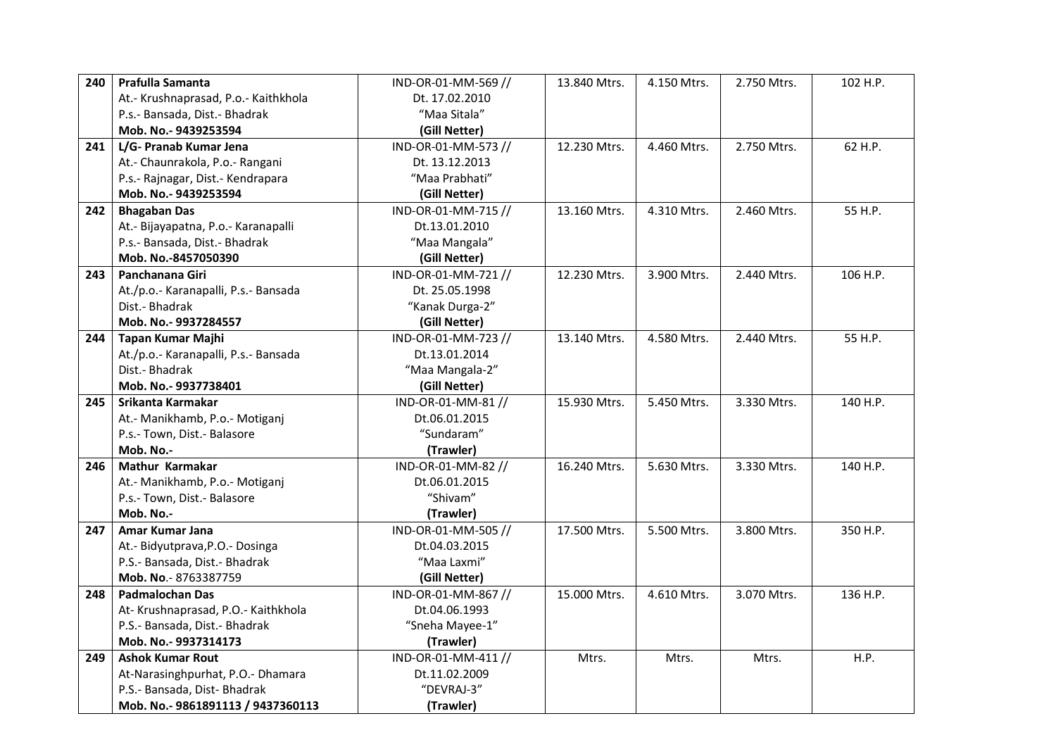| 240 | Prafulla Samanta                     | IND-OR-01-MM-569 // | 13.840 Mtrs. | 4.150 Mtrs. | 2.750 Mtrs. | 102 H.P. |
|-----|--------------------------------------|---------------------|--------------|-------------|-------------|----------|
|     | At.- Krushnaprasad, P.o.- Kaithkhola | Dt. 17.02.2010      |              |             |             |          |
|     | P.s.- Bansada, Dist.- Bhadrak        | "Maa Sitala"        |              |             |             |          |
|     | Mob. No.- 9439253594                 | (Gill Netter)       |              |             |             |          |
| 241 | L/G- Pranab Kumar Jena               | IND-OR-01-MM-573 // | 12.230 Mtrs. | 4.460 Mtrs. | 2.750 Mtrs. | 62 H.P.  |
|     | At.- Chaunrakola, P.o.- Rangani      | Dt. 13.12.2013      |              |             |             |          |
|     | P.s.- Rajnagar, Dist.- Kendrapara    | "Maa Prabhati"      |              |             |             |          |
|     | Mob. No.- 9439253594                 | (Gill Netter)       |              |             |             |          |
| 242 | <b>Bhagaban Das</b>                  | IND-OR-01-MM-715 // | 13.160 Mtrs. | 4.310 Mtrs. | 2.460 Mtrs. | 55 H.P.  |
|     | At.- Bijayapatna, P.o.- Karanapalli  | Dt.13.01.2010       |              |             |             |          |
|     | P.s.- Bansada, Dist.- Bhadrak        | "Maa Mangala"       |              |             |             |          |
|     | Mob. No.-8457050390                  | (Gill Netter)       |              |             |             |          |
| 243 | Panchanana Giri                      | IND-OR-01-MM-721 // | 12.230 Mtrs. | 3.900 Mtrs. | 2.440 Mtrs. | 106 H.P. |
|     | At./p.o.- Karanapalli, P.s.- Bansada | Dt. 25.05.1998      |              |             |             |          |
|     | Dist.- Bhadrak                       | "Kanak Durga-2"     |              |             |             |          |
|     | Mob. No.- 9937284557                 | (Gill Netter)       |              |             |             |          |
| 244 | Tapan Kumar Majhi                    | IND-OR-01-MM-723 // | 13.140 Mtrs. | 4.580 Mtrs. | 2.440 Mtrs. | 55 H.P.  |
|     | At./p.o.- Karanapalli, P.s.- Bansada | Dt.13.01.2014       |              |             |             |          |
|     | Dist.- Bhadrak                       | "Maa Mangala-2"     |              |             |             |          |
|     | Mob. No.- 9937738401                 | (Gill Netter)       |              |             |             |          |
| 245 | Srikanta Karmakar                    | IND-OR-01-MM-81 //  | 15.930 Mtrs. | 5.450 Mtrs. | 3.330 Mtrs. | 140 H.P. |
|     | At.- Manikhamb, P.o.- Motiganj       | Dt.06.01.2015       |              |             |             |          |
|     | P.s.- Town, Dist.- Balasore          | "Sundaram"          |              |             |             |          |
|     | Mob. No.-                            | (Trawler)           |              |             |             |          |
| 246 | Mathur Karmakar                      | IND-OR-01-MM-82 //  | 16.240 Mtrs. | 5.630 Mtrs. | 3.330 Mtrs. | 140 H.P. |
|     | At.- Manikhamb, P.o.- Motiganj       | Dt.06.01.2015       |              |             |             |          |
|     | P.s.- Town, Dist.- Balasore          | "Shivam"            |              |             |             |          |
|     | Mob. No.-                            | (Trawler)           |              |             |             |          |
| 247 | Amar Kumar Jana                      | IND-OR-01-MM-505 // | 17.500 Mtrs. | 5.500 Mtrs. | 3.800 Mtrs. | 350 H.P. |
|     | At.- Bidyutprava, P.O.- Dosinga      | Dt.04.03.2015       |              |             |             |          |
|     | P.S.- Bansada, Dist.- Bhadrak        | "Maa Laxmi"         |              |             |             |          |
|     | Mob. No. - 8763387759                | (Gill Netter)       |              |             |             |          |
| 248 | <b>Padmalochan Das</b>               | IND-OR-01-MM-867 // | 15.000 Mtrs. | 4.610 Mtrs. | 3.070 Mtrs. | 136 H.P. |
|     | At-Krushnaprasad, P.O.-Kaithkhola    | Dt.04.06.1993       |              |             |             |          |
|     | P.S.- Bansada, Dist.- Bhadrak        | "Sneha Mayee-1"     |              |             |             |          |
|     | Mob. No.- 9937314173                 | (Trawler)           |              |             |             |          |
| 249 | <b>Ashok Kumar Rout</b>              | IND-OR-01-MM-411 // | Mtrs.        | Mtrs.       | Mtrs.       | H.P.     |
|     | At-Narasinghpurhat, P.O.- Dhamara    | Dt.11.02.2009       |              |             |             |          |
|     | P.S.- Bansada, Dist- Bhadrak         | "DEVRAJ-3"          |              |             |             |          |
|     | Mob. No.- 9861891113 / 9437360113    | (Trawler)           |              |             |             |          |